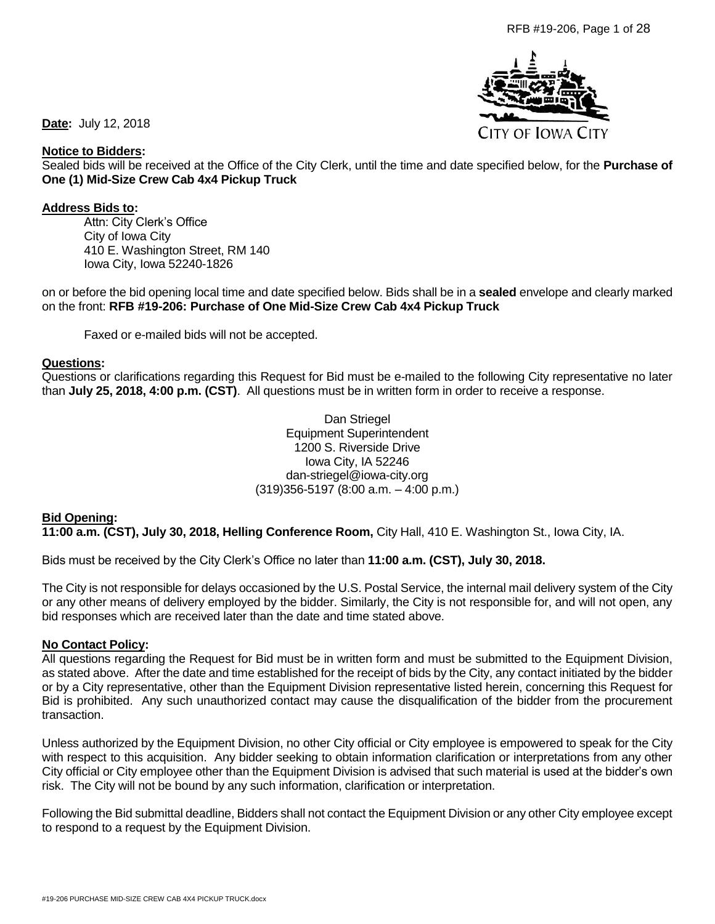

**Date:** July 12, 2018

#### **Notice to Bidders:**

Sealed bids will be received at the Office of the City Clerk, until the time and date specified below, for the **Purchase of One (1) Mid-Size Crew Cab 4x4 Pickup Truck**

#### **Address Bids to:**

Attn: City Clerk's Office City of Iowa City 410 E. Washington Street, RM 140 Iowa City, Iowa 52240-1826

on or before the bid opening local time and date specified below. Bids shall be in a **sealed** envelope and clearly marked on the front: **RFB #19-206: Purchase of One Mid-Size Crew Cab 4x4 Pickup Truck** 

Faxed or e-mailed bids will not be accepted.

#### **Questions:**

Questions or clarifications regarding this Request for Bid must be e-mailed to the following City representative no later than **July 25, 2018, 4:00 p.m. (CST)**. All questions must be in written form in order to receive a response.

> Dan Striegel Equipment Superintendent 1200 S. Riverside Drive Iowa City, IA 52246 dan-striegel@iowa-city.org (319)356-5197 (8:00 a.m. – 4:00 p.m.)

#### **Bid Opening:**

**11:00 a.m. (CST), July 30, 2018, Helling Conference Room,** City Hall, 410 E. Washington St., Iowa City, IA.

Bids must be received by the City Clerk's Office no later than **11:00 a.m. (CST), July 30, 2018.**

The City is not responsible for delays occasioned by the U.S. Postal Service, the internal mail delivery system of the City or any other means of delivery employed by the bidder. Similarly, the City is not responsible for, and will not open, any bid responses which are received later than the date and time stated above.

#### **No Contact Policy:**

All questions regarding the Request for Bid must be in written form and must be submitted to the Equipment Division, as stated above. After the date and time established for the receipt of bids by the City, any contact initiated by the bidder or by a City representative, other than the Equipment Division representative listed herein, concerning this Request for Bid is prohibited. Any such unauthorized contact may cause the disqualification of the bidder from the procurement transaction.

Unless authorized by the Equipment Division, no other City official or City employee is empowered to speak for the City with respect to this acquisition. Any bidder seeking to obtain information clarification or interpretations from any other City official or City employee other than the Equipment Division is advised that such material is used at the bidder's own risk. The City will not be bound by any such information, clarification or interpretation.

Following the Bid submittal deadline, Bidders shall not contact the Equipment Division or any other City employee except to respond to a request by the Equipment Division.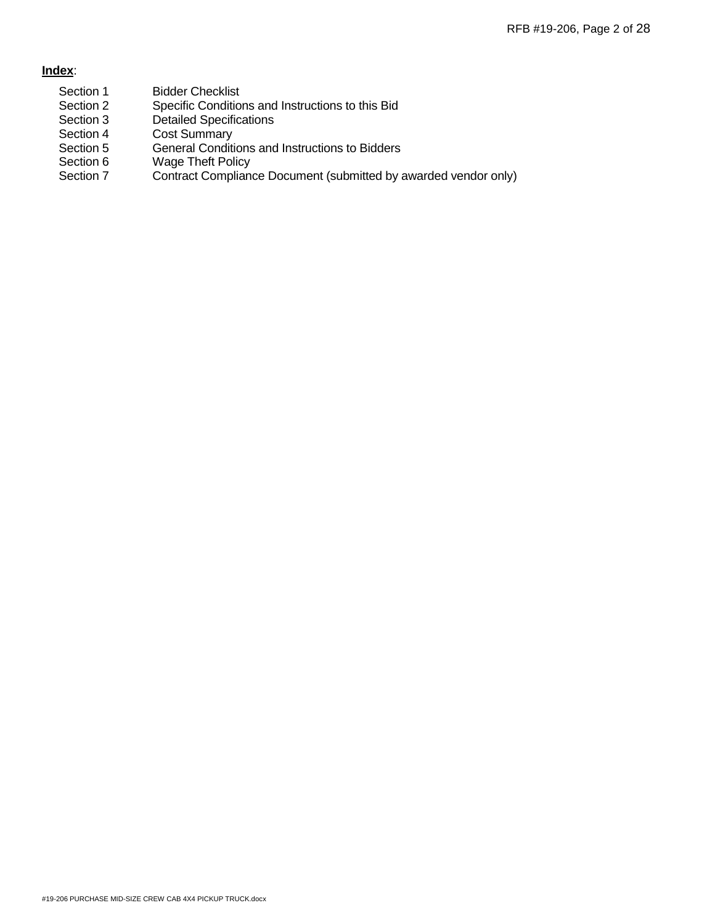# **Index**:

- Section 1 Bidder Checklist
- Section 2 Specific Conditions and Instructions to this Bid
- Section 3 Detailed Specifications
- Section 4 Cost Summary<br>Section 5 General Conditi
- Section 5 General Conditions and Instructions to Bidders<br>Section 6 Wage Theft Policy
- **Wage Theft Policy**
- Section 7 Contract Compliance Document (submitted by awarded vendor only)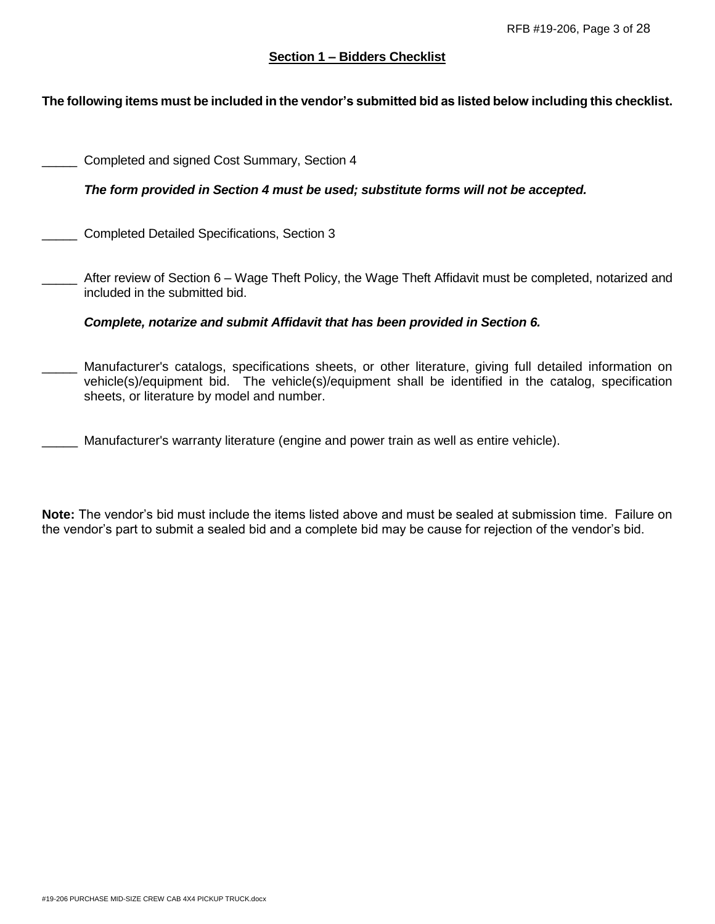# **Section 1 – Bidders Checklist**

# **The following items must be included in the vendor's submitted bid as listed below including this checklist.**

| Completed and signed Cost Summary, Section 4                                                                                                                                                                                                                   |
|----------------------------------------------------------------------------------------------------------------------------------------------------------------------------------------------------------------------------------------------------------------|
| The form provided in Section 4 must be used; substitute forms will not be accepted.                                                                                                                                                                            |
| Completed Detailed Specifications, Section 3                                                                                                                                                                                                                   |
| After review of Section 6 – Wage Theft Policy, the Wage Theft Affidavit must be completed, notarized and<br>included in the submitted bid.                                                                                                                     |
| Complete, notarize and submit Affidavit that has been provided in Section 6.                                                                                                                                                                                   |
| Manufacturer's catalogs, specifications sheets, or other literature, giving full detailed information on<br>vehicle(s)/equipment bid. The vehicle(s)/equipment shall be identified in the catalog, specification<br>sheets, or literature by model and number. |
| Manufacturer's warranty literature (engine and power train as well as entire vehicle).                                                                                                                                                                         |

**Note:** The vendor's bid must include the items listed above and must be sealed at submission time. Failure on the vendor's part to submit a sealed bid and a complete bid may be cause for rejection of the vendor's bid.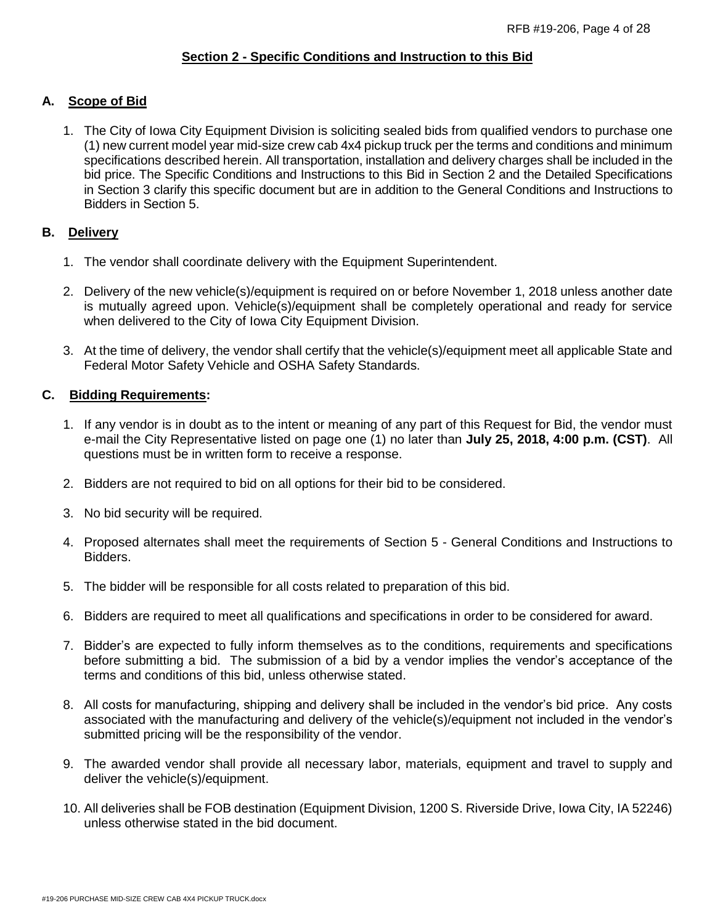# **Section 2 - Specific Conditions and Instruction to this Bid**

# **A. Scope of Bid**

1. The City of Iowa City Equipment Division is soliciting sealed bids from qualified vendors to purchase one (1) new current model year mid-size crew cab 4x4 pickup truck per the terms and conditions and minimum specifications described herein. All transportation, installation and delivery charges shall be included in the bid price. The Specific Conditions and Instructions to this Bid in Section 2 and the Detailed Specifications in Section 3 clarify this specific document but are in addition to the General Conditions and Instructions to Bidders in Section 5.

# **B. Delivery**

- 1. The vendor shall coordinate delivery with the Equipment Superintendent.
- 2. Delivery of the new vehicle(s)/equipment is required on or before November 1, 2018 unless another date is mutually agreed upon. Vehicle(s)/equipment shall be completely operational and ready for service when delivered to the City of Iowa City Equipment Division.
- 3. At the time of delivery, the vendor shall certify that the vehicle(s)/equipment meet all applicable State and Federal Motor Safety Vehicle and OSHA Safety Standards.

# **C. Bidding Requirements:**

- 1. If any vendor is in doubt as to the intent or meaning of any part of this Request for Bid, the vendor must e-mail the City Representative listed on page one (1) no later than **July 25, 2018, 4:00 p.m. (CST)**. All questions must be in written form to receive a response.
- 2. Bidders are not required to bid on all options for their bid to be considered.
- 3. No bid security will be required.
- 4. Proposed alternates shall meet the requirements of Section 5 General Conditions and Instructions to Bidders.
- 5. The bidder will be responsible for all costs related to preparation of this bid.
- 6. Bidders are required to meet all qualifications and specifications in order to be considered for award.
- 7. Bidder's are expected to fully inform themselves as to the conditions, requirements and specifications before submitting a bid. The submission of a bid by a vendor implies the vendor's acceptance of the terms and conditions of this bid, unless otherwise stated.
- 8. All costs for manufacturing, shipping and delivery shall be included in the vendor's bid price. Any costs associated with the manufacturing and delivery of the vehicle(s)/equipment not included in the vendor's submitted pricing will be the responsibility of the vendor.
- 9. The awarded vendor shall provide all necessary labor, materials, equipment and travel to supply and deliver the vehicle(s)/equipment.
- 10. All deliveries shall be FOB destination (Equipment Division, 1200 S. Riverside Drive, Iowa City, IA 52246) unless otherwise stated in the bid document.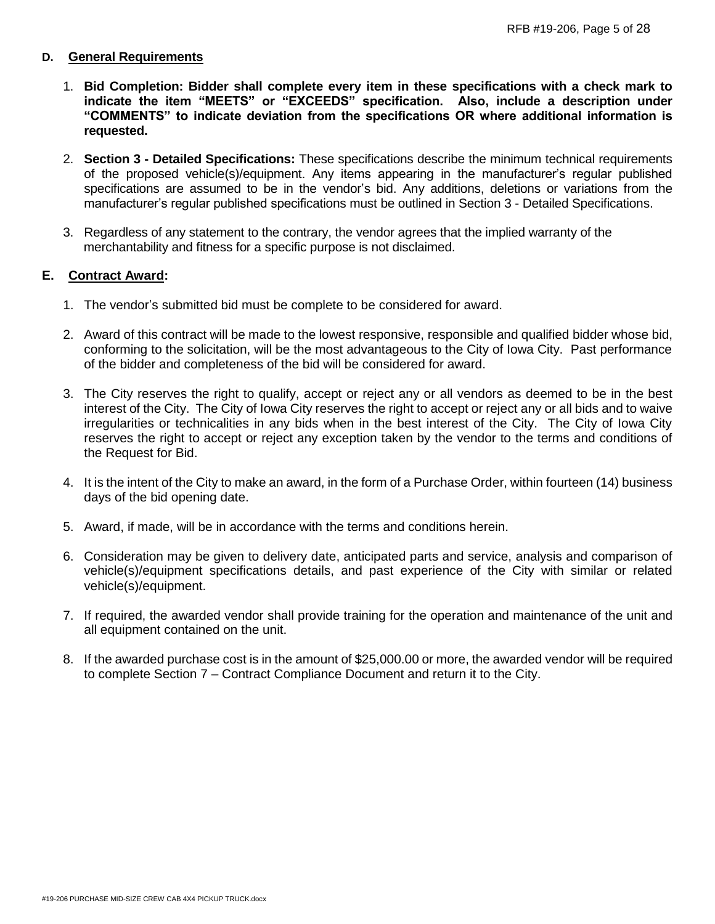### **D. General Requirements**

- 1. **Bid Completion: Bidder shall complete every item in these specifications with a check mark to indicate the item "MEETS" or "EXCEEDS" specification. Also, include a description under "COMMENTS" to indicate deviation from the specifications OR where additional information is requested.**
- 2. **Section 3 - Detailed Specifications:** These specifications describe the minimum technical requirements of the proposed vehicle(s)/equipment. Any items appearing in the manufacturer's regular published specifications are assumed to be in the vendor's bid. Any additions, deletions or variations from the manufacturer's regular published specifications must be outlined in Section 3 - Detailed Specifications.
- 3. Regardless of any statement to the contrary, the vendor agrees that the implied warranty of the merchantability and fitness for a specific purpose is not disclaimed.

# **E. Contract Award:**

- 1. The vendor's submitted bid must be complete to be considered for award.
- 2. Award of this contract will be made to the lowest responsive, responsible and qualified bidder whose bid, conforming to the solicitation, will be the most advantageous to the City of Iowa City. Past performance of the bidder and completeness of the bid will be considered for award.
- 3. The City reserves the right to qualify, accept or reject any or all vendors as deemed to be in the best interest of the City. The City of Iowa City reserves the right to accept or reject any or all bids and to waive irregularities or technicalities in any bids when in the best interest of the City. The City of Iowa City reserves the right to accept or reject any exception taken by the vendor to the terms and conditions of the Request for Bid.
- 4. It is the intent of the City to make an award, in the form of a Purchase Order, within fourteen (14) business days of the bid opening date.
- 5. Award, if made, will be in accordance with the terms and conditions herein.
- 6. Consideration may be given to delivery date, anticipated parts and service, analysis and comparison of vehicle(s)/equipment specifications details, and past experience of the City with similar or related vehicle(s)/equipment.
- 7. If required, the awarded vendor shall provide training for the operation and maintenance of the unit and all equipment contained on the unit.
- 8. If the awarded purchase cost is in the amount of \$25,000.00 or more, the awarded vendor will be required to complete Section 7 – Contract Compliance Document and return it to the City.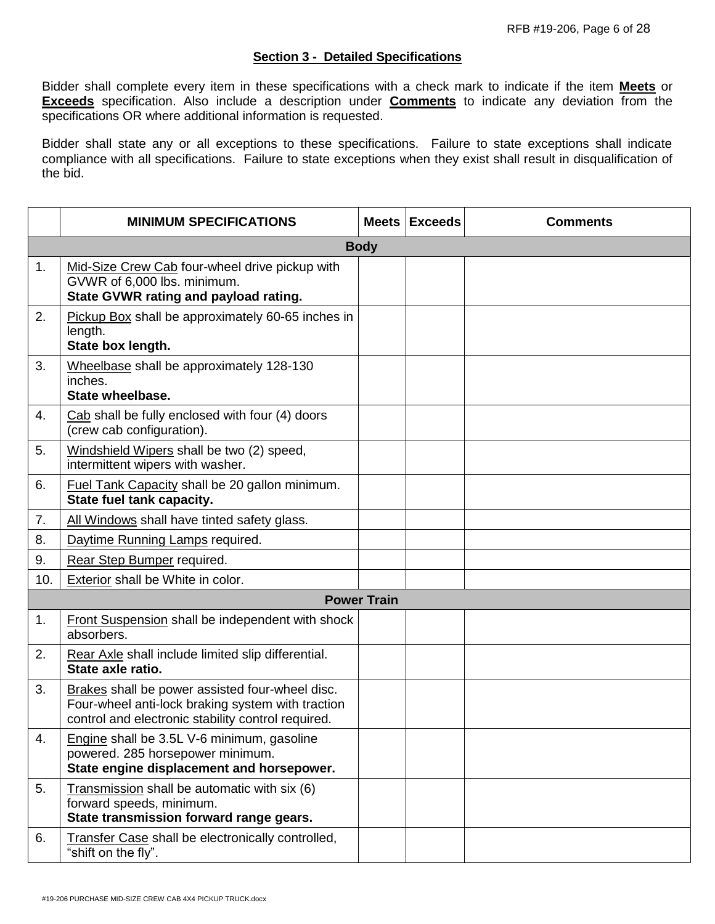#### **Section 3 - Detailed Specifications**

Bidder shall complete every item in these specifications with a check mark to indicate if the item **Meets** or **Exceeds** specification. Also include a description under **Comments** to indicate any deviation from the specifications OR where additional information is requested.

Bidder shall state any or all exceptions to these specifications. Failure to state exceptions shall indicate compliance with all specifications. Failure to state exceptions when they exist shall result in disqualification of the bid.

|     | <b>MINIMUM SPECIFICATIONS</b>                                                                                                                              |                    | Meets Exceeds | <b>Comments</b> |  |
|-----|------------------------------------------------------------------------------------------------------------------------------------------------------------|--------------------|---------------|-----------------|--|
|     | <b>Body</b>                                                                                                                                                |                    |               |                 |  |
| 1.  | Mid-Size Crew Cab four-wheel drive pickup with<br>GVWR of 6,000 lbs. minimum.<br>State GVWR rating and payload rating.                                     |                    |               |                 |  |
| 2.  | Pickup Box shall be approximately 60-65 inches in<br>length.<br>State box length.                                                                          |                    |               |                 |  |
| 3.  | Wheelbase shall be approximately 128-130<br>inches.<br>State wheelbase.                                                                                    |                    |               |                 |  |
| 4.  | Cab shall be fully enclosed with four (4) doors<br>(crew cab configuration).                                                                               |                    |               |                 |  |
| 5.  | Windshield Wipers shall be two (2) speed,<br>intermittent wipers with washer.                                                                              |                    |               |                 |  |
| 6.  | Fuel Tank Capacity shall be 20 gallon minimum.<br>State fuel tank capacity.                                                                                |                    |               |                 |  |
| 7.  | All Windows shall have tinted safety glass.                                                                                                                |                    |               |                 |  |
| 8.  | Daytime Running Lamps required.                                                                                                                            |                    |               |                 |  |
| 9.  | Rear Step Bumper required.                                                                                                                                 |                    |               |                 |  |
| 10. | Exterior shall be White in color.                                                                                                                          |                    |               |                 |  |
|     |                                                                                                                                                            | <b>Power Train</b> |               |                 |  |
| 1.  | <b>Front Suspension shall be independent with shock</b><br>absorbers.                                                                                      |                    |               |                 |  |
| 2.  | Rear Axle shall include limited slip differential.<br>State axle ratio.                                                                                    |                    |               |                 |  |
| 3.  | Brakes shall be power assisted four-wheel disc.<br>Four-wheel anti-lock braking system with traction<br>control and electronic stability control required. |                    |               |                 |  |
| 4.  | Engine shall be 3.5L V-6 minimum, gasoline<br>powered. 285 horsepower minimum.<br>State engine displacement and horsepower.                                |                    |               |                 |  |
| 5.  | Transmission shall be automatic with six (6)<br>forward speeds, minimum.<br>State transmission forward range gears.                                        |                    |               |                 |  |
| 6.  | Transfer Case shall be electronically controlled,<br>"shift on the fly".                                                                                   |                    |               |                 |  |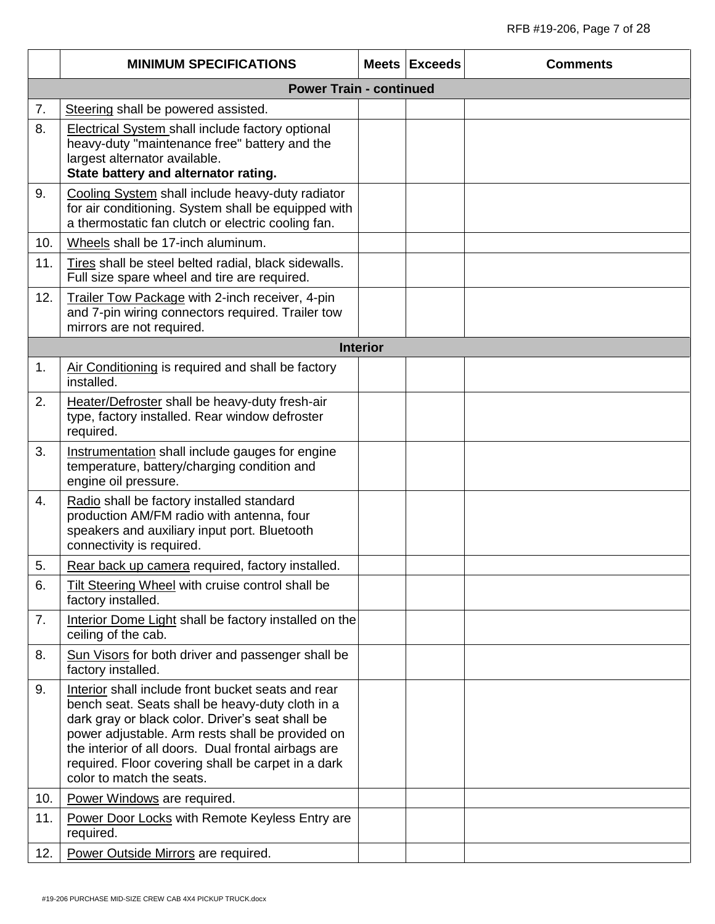|     | <b>MINIMUM SPECIFICATIONS</b>                                                                                                                                                                                                                                                                                                                            |                 | <b>Meets Exceeds</b> | <b>Comments</b> |  |
|-----|----------------------------------------------------------------------------------------------------------------------------------------------------------------------------------------------------------------------------------------------------------------------------------------------------------------------------------------------------------|-----------------|----------------------|-----------------|--|
|     | <b>Power Train - continued</b>                                                                                                                                                                                                                                                                                                                           |                 |                      |                 |  |
| 7.  | Steering shall be powered assisted.                                                                                                                                                                                                                                                                                                                      |                 |                      |                 |  |
| 8.  | <b>Electrical System shall include factory optional</b><br>heavy-duty "maintenance free" battery and the<br>largest alternator available.<br>State battery and alternator rating.                                                                                                                                                                        |                 |                      |                 |  |
| 9.  | Cooling System shall include heavy-duty radiator<br>for air conditioning. System shall be equipped with<br>a thermostatic fan clutch or electric cooling fan.                                                                                                                                                                                            |                 |                      |                 |  |
| 10. | Wheels shall be 17-inch aluminum.                                                                                                                                                                                                                                                                                                                        |                 |                      |                 |  |
| 11. | Tires shall be steel belted radial, black sidewalls.<br>Full size spare wheel and tire are required.                                                                                                                                                                                                                                                     |                 |                      |                 |  |
| 12. | Trailer Tow Package with 2-inch receiver, 4-pin<br>and 7-pin wiring connectors required. Trailer tow<br>mirrors are not required.                                                                                                                                                                                                                        |                 |                      |                 |  |
|     |                                                                                                                                                                                                                                                                                                                                                          | <b>Interior</b> |                      |                 |  |
| 1.  | Air Conditioning is required and shall be factory<br>installed.                                                                                                                                                                                                                                                                                          |                 |                      |                 |  |
| 2.  | Heater/Defroster shall be heavy-duty fresh-air<br>type, factory installed. Rear window defroster<br>required.                                                                                                                                                                                                                                            |                 |                      |                 |  |
| 3.  | Instrumentation shall include gauges for engine<br>temperature, battery/charging condition and<br>engine oil pressure.                                                                                                                                                                                                                                   |                 |                      |                 |  |
| 4.  | Radio shall be factory installed standard<br>production AM/FM radio with antenna, four<br>speakers and auxiliary input port. Bluetooth<br>connectivity is required.                                                                                                                                                                                      |                 |                      |                 |  |
| 5.  | Rear back up camera required, factory installed.                                                                                                                                                                                                                                                                                                         |                 |                      |                 |  |
| 6.  | Tilt Steering Wheel with cruise control shall be<br>factory installed.                                                                                                                                                                                                                                                                                   |                 |                      |                 |  |
| 7.  | Interior Dome Light shall be factory installed on the<br>ceiling of the cab.                                                                                                                                                                                                                                                                             |                 |                      |                 |  |
| 8.  | Sun Visors for both driver and passenger shall be<br>factory installed.                                                                                                                                                                                                                                                                                  |                 |                      |                 |  |
| 9.  | Interior shall include front bucket seats and rear<br>bench seat. Seats shall be heavy-duty cloth in a<br>dark gray or black color. Driver's seat shall be<br>power adjustable. Arm rests shall be provided on<br>the interior of all doors. Dual frontal airbags are<br>required. Floor covering shall be carpet in a dark<br>color to match the seats. |                 |                      |                 |  |
| 10. | Power Windows are required.                                                                                                                                                                                                                                                                                                                              |                 |                      |                 |  |
| 11. | Power Door Locks with Remote Keyless Entry are<br>required.                                                                                                                                                                                                                                                                                              |                 |                      |                 |  |
| 12. | Power Outside Mirrors are required.                                                                                                                                                                                                                                                                                                                      |                 |                      |                 |  |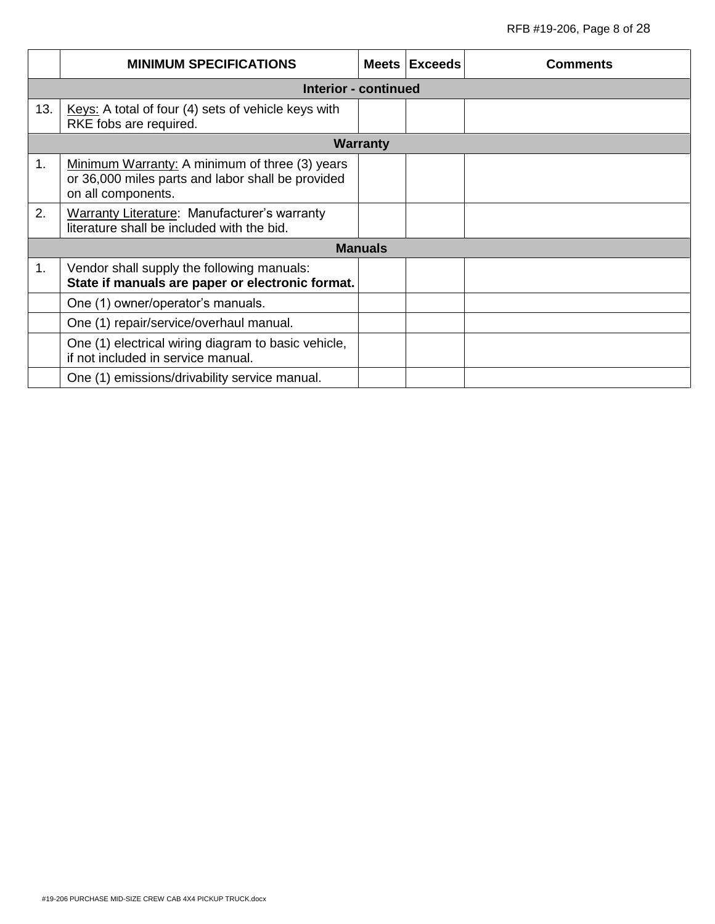|     | <b>MINIMUM SPECIFICATIONS</b>                                                                                             |                 | Meets Exceeds | Comments |
|-----|---------------------------------------------------------------------------------------------------------------------------|-----------------|---------------|----------|
|     | <b>Interior - continued</b>                                                                                               |                 |               |          |
| 13. | Keys: A total of four (4) sets of vehicle keys with<br>RKE fobs are required.                                             |                 |               |          |
|     |                                                                                                                           | <b>Warranty</b> |               |          |
| 1.  | Minimum Warranty: A minimum of three (3) years<br>or 36,000 miles parts and labor shall be provided<br>on all components. |                 |               |          |
| 2.  | Warranty Literature: Manufacturer's warranty<br>literature shall be included with the bid.                                |                 |               |          |
|     | <b>Manuals</b>                                                                                                            |                 |               |          |
| 1.  | Vendor shall supply the following manuals:<br>State if manuals are paper or electronic format.                            |                 |               |          |
|     | One (1) owner/operator's manuals.                                                                                         |                 |               |          |
|     | One (1) repair/service/overhaul manual.                                                                                   |                 |               |          |
|     | One (1) electrical wiring diagram to basic vehicle,<br>if not included in service manual.                                 |                 |               |          |
|     | One (1) emissions/drivability service manual.                                                                             |                 |               |          |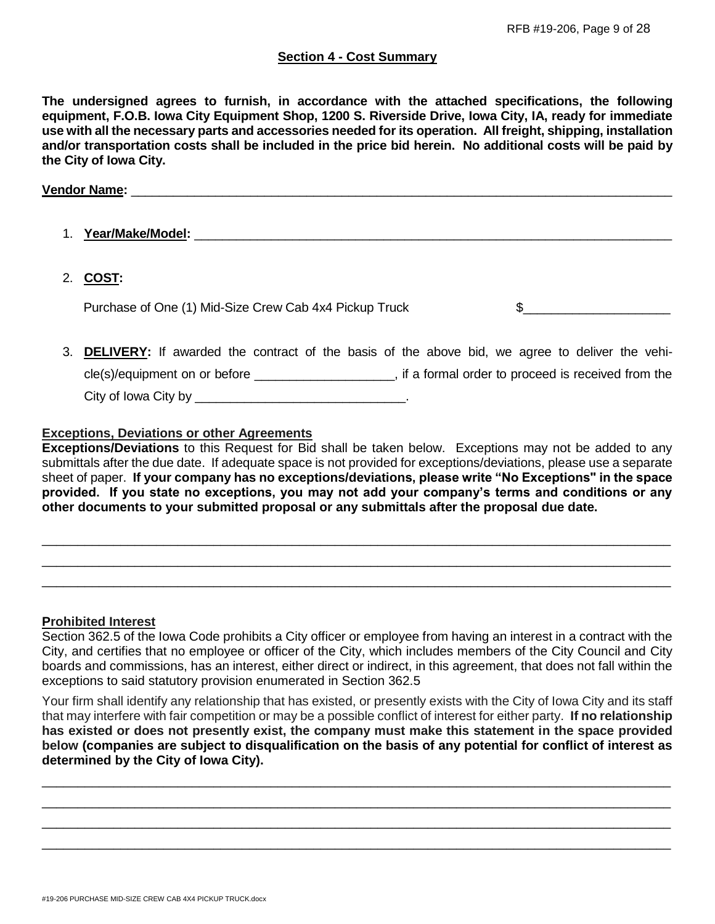### **Section 4 - Cost Summary**

**The undersigned agrees to furnish, in accordance with the attached specifications, the following equipment, F.O.B. Iowa City Equipment Shop, 1200 S. Riverside Drive, Iowa City, IA, ready for immediate use with all the necessary parts and accessories needed for its operation. All freight, shipping, installation and/or transportation costs shall be included in the price bid herein. No additional costs will be paid by the City of Iowa City.**

#### **Vendor Name: and a set of the set of the set of the set of the set of the set of the set of the set of the set of the set of the set of the set of the set of the set of the set of the set of the set of the set of the se**

- 1. **Year/Make/Model:** \_\_\_\_\_\_\_\_\_\_\_\_\_\_\_\_\_\_\_\_\_\_\_\_\_\_\_\_\_\_\_\_\_\_\_\_\_\_\_\_\_\_\_\_\_\_\_\_\_\_\_\_\_\_\_\_\_\_\_\_\_\_\_\_\_\_\_\_
- 2. **COST:**

Purchase of One (1) Mid-Size Crew Cab 4x4 Pickup Truck  $\qquad \qquad \$ 

3. **DELIVERY:** If awarded the contract of the basis of the above bid, we agree to deliver the vehicle(s)/equipment on or before \_\_\_\_\_\_\_\_\_\_\_\_\_\_\_\_\_\_\_\_, if a formal order to proceed is received from the City of Iowa City by \_\_\_\_\_\_\_\_\_\_\_\_\_\_\_\_\_\_\_\_\_\_\_\_\_\_\_\_\_\_.

### **Exceptions, Deviations or other Agreements**

**Exceptions/Deviations** to this Request for Bid shall be taken below. Exceptions may not be added to any submittals after the due date. If adequate space is not provided for exceptions/deviations, please use a separate sheet of paper. **If your company has no exceptions/deviations, please write "No Exceptions" in the space provided. If you state no exceptions, you may not add your company's terms and conditions or any other documents to your submitted proposal or any submittals after the proposal due date.**

\_\_\_\_\_\_\_\_\_\_\_\_\_\_\_\_\_\_\_\_\_\_\_\_\_\_\_\_\_\_\_\_\_\_\_\_\_\_\_\_\_\_\_\_\_\_\_\_\_\_\_\_\_\_\_\_\_\_\_\_\_\_\_\_\_\_\_\_\_\_\_\_\_\_\_\_\_\_\_\_\_\_\_\_\_\_\_\_ \_\_\_\_\_\_\_\_\_\_\_\_\_\_\_\_\_\_\_\_\_\_\_\_\_\_\_\_\_\_\_\_\_\_\_\_\_\_\_\_\_\_\_\_\_\_\_\_\_\_\_\_\_\_\_\_\_\_\_\_\_\_\_\_\_\_\_\_\_\_\_\_\_\_\_\_\_\_\_\_\_\_\_\_\_\_\_\_ \_\_\_\_\_\_\_\_\_\_\_\_\_\_\_\_\_\_\_\_\_\_\_\_\_\_\_\_\_\_\_\_\_\_\_\_\_\_\_\_\_\_\_\_\_\_\_\_\_\_\_\_\_\_\_\_\_\_\_\_\_\_\_\_\_\_\_\_\_\_\_\_\_\_\_\_\_\_\_\_\_\_\_\_\_\_\_\_

### **Prohibited Interest**

Section 362.5 of the Iowa Code prohibits a City officer or employee from having an interest in a contract with the City, and certifies that no employee or officer of the City, which includes members of the City Council and City boards and commissions, has an interest, either direct or indirect, in this agreement, that does not fall within the exceptions to said statutory provision enumerated in Section 362.5

Your firm shall identify any relationship that has existed, or presently exists with the City of Iowa City and its staff that may interfere with fair competition or may be a possible conflict of interest for either party. **If no relationship has existed or does not presently exist, the company must make this statement in the space provided below (companies are subject to disqualification on the basis of any potential for conflict of interest as determined by the City of Iowa City).**

\_\_\_\_\_\_\_\_\_\_\_\_\_\_\_\_\_\_\_\_\_\_\_\_\_\_\_\_\_\_\_\_\_\_\_\_\_\_\_\_\_\_\_\_\_\_\_\_\_\_\_\_\_\_\_\_\_\_\_\_\_\_\_\_\_\_\_\_\_\_\_\_\_\_\_\_\_\_\_\_\_\_\_\_\_\_\_\_ \_\_\_\_\_\_\_\_\_\_\_\_\_\_\_\_\_\_\_\_\_\_\_\_\_\_\_\_\_\_\_\_\_\_\_\_\_\_\_\_\_\_\_\_\_\_\_\_\_\_\_\_\_\_\_\_\_\_\_\_\_\_\_\_\_\_\_\_\_\_\_\_\_\_\_\_\_\_\_\_\_\_\_\_\_\_\_\_ \_\_\_\_\_\_\_\_\_\_\_\_\_\_\_\_\_\_\_\_\_\_\_\_\_\_\_\_\_\_\_\_\_\_\_\_\_\_\_\_\_\_\_\_\_\_\_\_\_\_\_\_\_\_\_\_\_\_\_\_\_\_\_\_\_\_\_\_\_\_\_\_\_\_\_\_\_\_\_\_\_\_\_\_\_\_\_\_ \_\_\_\_\_\_\_\_\_\_\_\_\_\_\_\_\_\_\_\_\_\_\_\_\_\_\_\_\_\_\_\_\_\_\_\_\_\_\_\_\_\_\_\_\_\_\_\_\_\_\_\_\_\_\_\_\_\_\_\_\_\_\_\_\_\_\_\_\_\_\_\_\_\_\_\_\_\_\_\_\_\_\_\_\_\_\_\_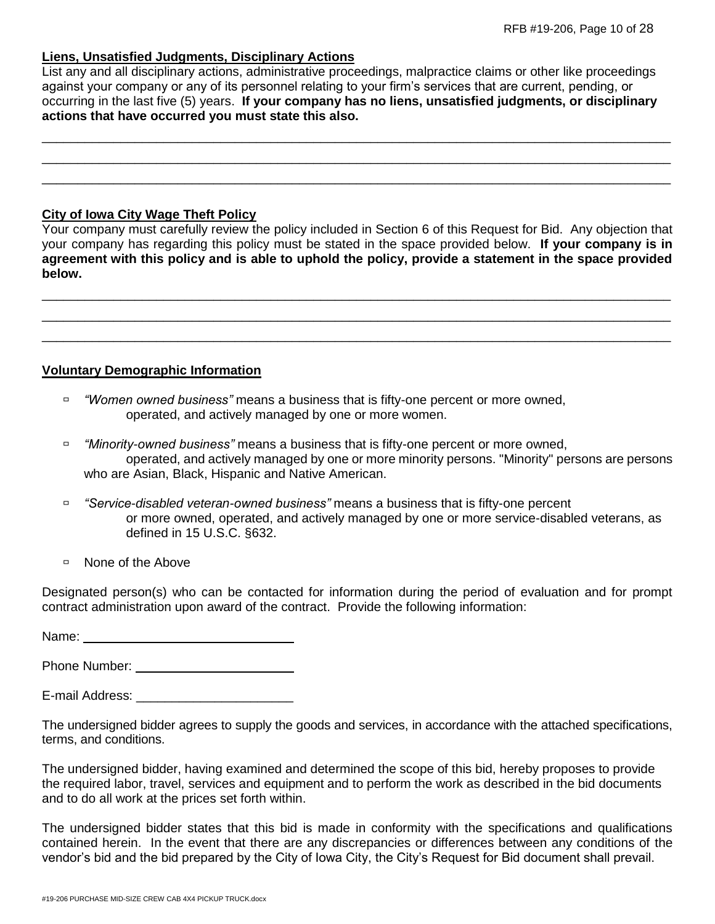### **Liens, Unsatisfied Judgments, Disciplinary Actions**

List any and all disciplinary actions, administrative proceedings, malpractice claims or other like proceedings against your company or any of its personnel relating to your firm's services that are current, pending, or occurring in the last five (5) years. **If your company has no liens, unsatisfied judgments, or disciplinary actions that have occurred you must state this also.**

\_\_\_\_\_\_\_\_\_\_\_\_\_\_\_\_\_\_\_\_\_\_\_\_\_\_\_\_\_\_\_\_\_\_\_\_\_\_\_\_\_\_\_\_\_\_\_\_\_\_\_\_\_\_\_\_\_\_\_\_\_\_\_\_\_\_\_\_\_\_\_\_\_\_\_\_\_\_\_\_\_\_\_\_\_\_\_\_ \_\_\_\_\_\_\_\_\_\_\_\_\_\_\_\_\_\_\_\_\_\_\_\_\_\_\_\_\_\_\_\_\_\_\_\_\_\_\_\_\_\_\_\_\_\_\_\_\_\_\_\_\_\_\_\_\_\_\_\_\_\_\_\_\_\_\_\_\_\_\_\_\_\_\_\_\_\_\_\_\_\_\_\_\_\_\_\_ \_\_\_\_\_\_\_\_\_\_\_\_\_\_\_\_\_\_\_\_\_\_\_\_\_\_\_\_\_\_\_\_\_\_\_\_\_\_\_\_\_\_\_\_\_\_\_\_\_\_\_\_\_\_\_\_\_\_\_\_\_\_\_\_\_\_\_\_\_\_\_\_\_\_\_\_\_\_\_\_\_\_\_\_\_\_\_\_

# **City of Iowa City Wage Theft Policy**

Your company must carefully review the policy included in Section 6 of this Request for Bid. Any objection that your company has regarding this policy must be stated in the space provided below. **If your company is in agreement with this policy and is able to uphold the policy, provide a statement in the space provided below.**

\_\_\_\_\_\_\_\_\_\_\_\_\_\_\_\_\_\_\_\_\_\_\_\_\_\_\_\_\_\_\_\_\_\_\_\_\_\_\_\_\_\_\_\_\_\_\_\_\_\_\_\_\_\_\_\_\_\_\_\_\_\_\_\_\_\_\_\_\_\_\_\_\_\_\_\_\_\_\_\_\_\_\_\_\_\_\_\_ \_\_\_\_\_\_\_\_\_\_\_\_\_\_\_\_\_\_\_\_\_\_\_\_\_\_\_\_\_\_\_\_\_\_\_\_\_\_\_\_\_\_\_\_\_\_\_\_\_\_\_\_\_\_\_\_\_\_\_\_\_\_\_\_\_\_\_\_\_\_\_\_\_\_\_\_\_\_\_\_\_\_\_\_\_\_\_\_ \_\_\_\_\_\_\_\_\_\_\_\_\_\_\_\_\_\_\_\_\_\_\_\_\_\_\_\_\_\_\_\_\_\_\_\_\_\_\_\_\_\_\_\_\_\_\_\_\_\_\_\_\_\_\_\_\_\_\_\_\_\_\_\_\_\_\_\_\_\_\_\_\_\_\_\_\_\_\_\_\_\_\_\_\_\_\_\_

# **Voluntary Demographic Information**

- *"Women owned business"* means a business that is fifty-one percent or more owned, operated, and actively managed by one or more women.
- *"Minority-owned business"* means a business that is fifty-one percent or more owned, operated, and actively managed by one or more minority persons. "Minority" persons are persons who are Asian, Black, Hispanic and Native American.
- *"Service-disabled veteran-owned business"* means a business that is fifty-one percent or more owned, operated, and actively managed by one or more service-disabled veterans, as defined in 15 U.S.C. §632.
- □ None of the Above

Designated person(s) who can be contacted for information during the period of evaluation and for prompt contract administration upon award of the contract. Provide the following information:

Name:

Phone Number:

E-mail Address: \_\_\_\_\_\_\_\_\_\_\_\_\_\_\_\_\_\_\_\_\_\_

The undersigned bidder agrees to supply the goods and services, in accordance with the attached specifications, terms, and conditions.

The undersigned bidder, having examined and determined the scope of this bid, hereby proposes to provide the required labor, travel, services and equipment and to perform the work as described in the bid documents and to do all work at the prices set forth within.

The undersigned bidder states that this bid is made in conformity with the specifications and qualifications contained herein. In the event that there are any discrepancies or differences between any conditions of the vendor's bid and the bid prepared by the City of Iowa City, the City's Request for Bid document shall prevail.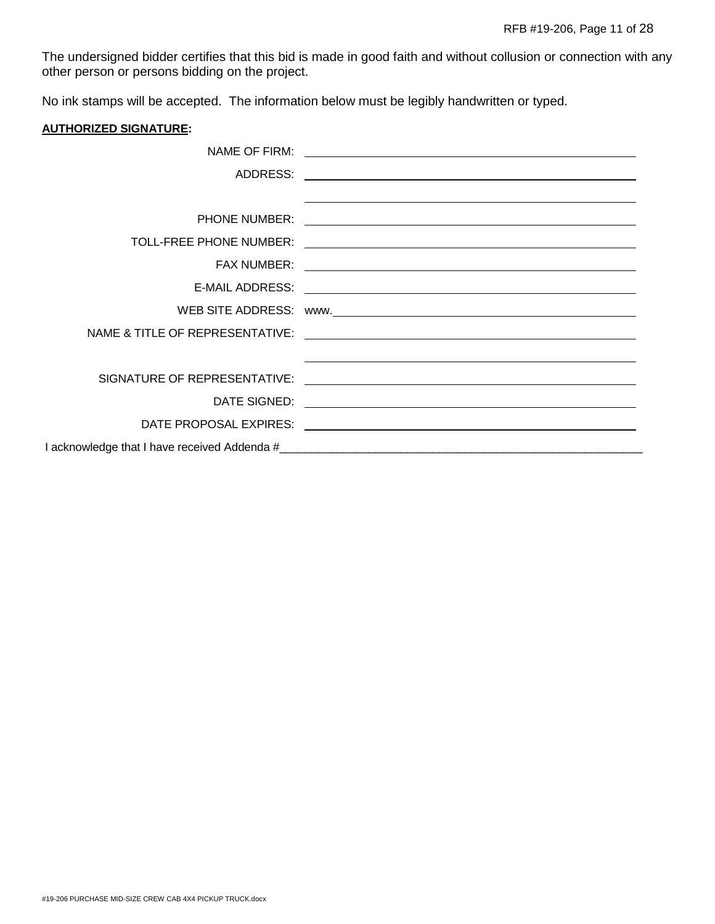The undersigned bidder certifies that this bid is made in good faith and without collusion or connection with any other person or persons bidding on the project.

No ink stamps will be accepted. The information below must be legibly handwritten or typed.

#### **AUTHORIZED SIGNATURE:**

| NAME OF FIRM:                | <u> 1989 - Jan Samuel Barbara, martin da shekarar 1980 - An tsara tsara tsara tsara tsara tsara tsara tsara tsar</u>                                                                                                                 |
|------------------------------|--------------------------------------------------------------------------------------------------------------------------------------------------------------------------------------------------------------------------------------|
| ADDRESS:                     | <u> 1989 - Johann Stoff, deutscher Stoff, der Stoff, der Stoff, der Stoff, der Stoff, der Stoff, der Stoff, der S</u>                                                                                                                |
|                              | <u> 1989 - Johann Stoff, amerikansk politiker (d. 1989)</u>                                                                                                                                                                          |
| PHONE NUMBER:                |                                                                                                                                                                                                                                      |
| TOLL-FREE PHONE NUMBER:      | <u> 1989 - Johann Johann Stoff, deutscher Stoffen und der Stoffen und der Stoffen und der Stoffen und der Stoffen</u>                                                                                                                |
| <b>FAX NUMBER:</b>           | <u> Andreas Andreas Andreas Andreas Andreas Andreas Andreas Andreas Andreas Andreas Andreas Andreas Andreas Andr</u>                                                                                                                 |
| E-MAIL ADDRESS:              |                                                                                                                                                                                                                                      |
|                              |                                                                                                                                                                                                                                      |
|                              |                                                                                                                                                                                                                                      |
|                              |                                                                                                                                                                                                                                      |
| SIGNATURE OF REPRESENTATIVE: | <u>and the state of the state of the state of the state of the state of the state of the state of the state of the state of the state of the state of the state of the state of the state of the state of the state of the state</u> |
| DATE SIGNED:                 | <u> 1989 - Johann Barbara, martxa alemaniar arg</u>                                                                                                                                                                                  |
|                              |                                                                                                                                                                                                                                      |
|                              |                                                                                                                                                                                                                                      |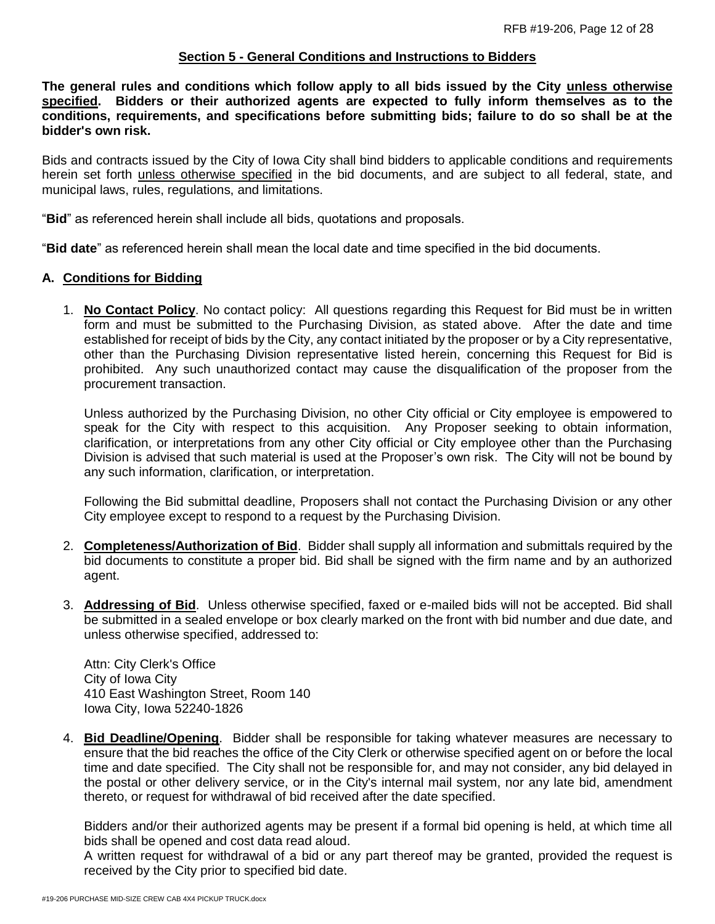### **Section 5 - General Conditions and Instructions to Bidders**

**The general rules and conditions which follow apply to all bids issued by the City unless otherwise specified. Bidders or their authorized agents are expected to fully inform themselves as to the conditions, requirements, and specifications before submitting bids; failure to do so shall be at the bidder's own risk.**

Bids and contracts issued by the City of Iowa City shall bind bidders to applicable conditions and requirements herein set forth unless otherwise specified in the bid documents, and are subject to all federal, state, and municipal laws, rules, regulations, and limitations.

"**Bid**" as referenced herein shall include all bids, quotations and proposals.

"**Bid date**" as referenced herein shall mean the local date and time specified in the bid documents.

#### **A. Conditions for Bidding**

1. **No Contact Policy**. No contact policy: All questions regarding this Request for Bid must be in written form and must be submitted to the Purchasing Division, as stated above. After the date and time established for receipt of bids by the City, any contact initiated by the proposer or by a City representative, other than the Purchasing Division representative listed herein, concerning this Request for Bid is prohibited. Any such unauthorized contact may cause the disqualification of the proposer from the procurement transaction.

Unless authorized by the Purchasing Division, no other City official or City employee is empowered to speak for the City with respect to this acquisition. Any Proposer seeking to obtain information, clarification, or interpretations from any other City official or City employee other than the Purchasing Division is advised that such material is used at the Proposer's own risk. The City will not be bound by any such information, clarification, or interpretation.

Following the Bid submittal deadline, Proposers shall not contact the Purchasing Division or any other City employee except to respond to a request by the Purchasing Division.

- 2. **Completeness/Authorization of Bid**. Bidder shall supply all information and submittals required by the bid documents to constitute a proper bid. Bid shall be signed with the firm name and by an authorized agent.
- 3. **Addressing of Bid**. Unless otherwise specified, faxed or e-mailed bids will not be accepted. Bid shall be submitted in a sealed envelope or box clearly marked on the front with bid number and due date, and unless otherwise specified, addressed to:

Attn: City Clerk's Office City of Iowa City 410 East Washington Street, Room 140 Iowa City, Iowa 52240-1826

4. **Bid Deadline/Opening**. Bidder shall be responsible for taking whatever measures are necessary to ensure that the bid reaches the office of the City Clerk or otherwise specified agent on or before the local time and date specified. The City shall not be responsible for, and may not consider, any bid delayed in the postal or other delivery service, or in the City's internal mail system, nor any late bid, amendment thereto, or request for withdrawal of bid received after the date specified.

Bidders and/or their authorized agents may be present if a formal bid opening is held, at which time all bids shall be opened and cost data read aloud.

A written request for withdrawal of a bid or any part thereof may be granted, provided the request is received by the City prior to specified bid date.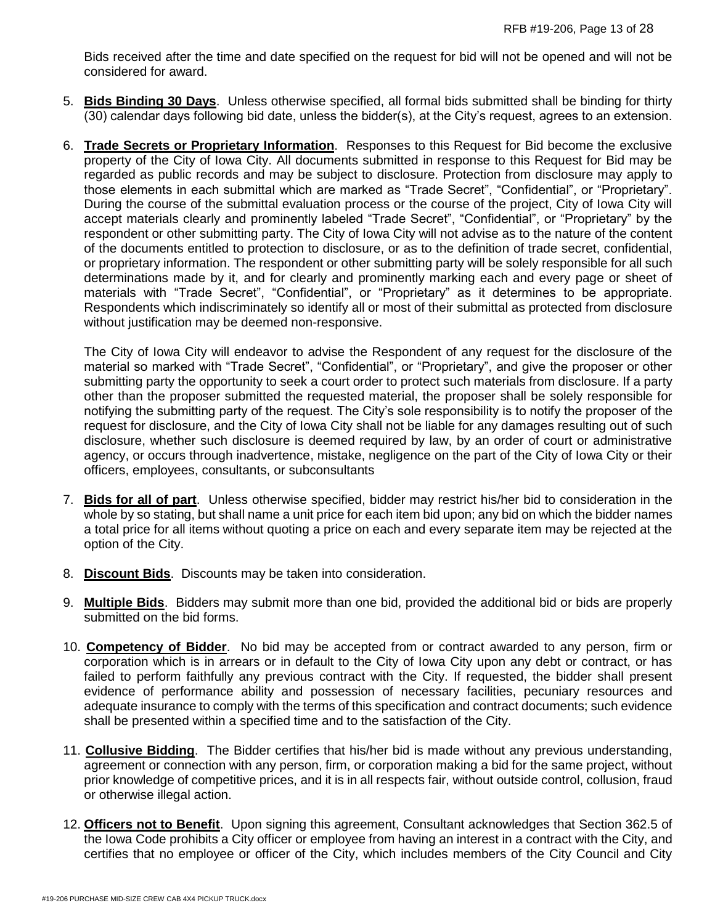Bids received after the time and date specified on the request for bid will not be opened and will not be considered for award.

- 5. **Bids Binding 30 Days**. Unless otherwise specified, all formal bids submitted shall be binding for thirty (30) calendar days following bid date, unless the bidder(s), at the City's request, agrees to an extension.
- 6. **Trade Secrets or Proprietary Information**. Responses to this Request for Bid become the exclusive property of the City of Iowa City. All documents submitted in response to this Request for Bid may be regarded as public records and may be subject to disclosure. Protection from disclosure may apply to those elements in each submittal which are marked as "Trade Secret", "Confidential", or "Proprietary". During the course of the submittal evaluation process or the course of the project, City of Iowa City will accept materials clearly and prominently labeled "Trade Secret", "Confidential", or "Proprietary" by the respondent or other submitting party. The City of Iowa City will not advise as to the nature of the content of the documents entitled to protection to disclosure, or as to the definition of trade secret, confidential, or proprietary information. The respondent or other submitting party will be solely responsible for all such determinations made by it, and for clearly and prominently marking each and every page or sheet of materials with "Trade Secret", "Confidential", or "Proprietary" as it determines to be appropriate. Respondents which indiscriminately so identify all or most of their submittal as protected from disclosure without justification may be deemed non-responsive.

The City of Iowa City will endeavor to advise the Respondent of any request for the disclosure of the material so marked with "Trade Secret", "Confidential", or "Proprietary", and give the proposer or other submitting party the opportunity to seek a court order to protect such materials from disclosure. If a party other than the proposer submitted the requested material, the proposer shall be solely responsible for notifying the submitting party of the request. The City's sole responsibility is to notify the proposer of the request for disclosure, and the City of Iowa City shall not be liable for any damages resulting out of such disclosure, whether such disclosure is deemed required by law, by an order of court or administrative agency, or occurs through inadvertence, mistake, negligence on the part of the City of Iowa City or their officers, employees, consultants, or subconsultants

- 7. **Bids for all of part**. Unless otherwise specified, bidder may restrict his/her bid to consideration in the whole by so stating, but shall name a unit price for each item bid upon; any bid on which the bidder names a total price for all items without quoting a price on each and every separate item may be rejected at the option of the City.
- 8. **Discount Bids**. Discounts may be taken into consideration.
- 9. **Multiple Bids**. Bidders may submit more than one bid, provided the additional bid or bids are properly submitted on the bid forms.
- 10. **Competency of Bidder**. No bid may be accepted from or contract awarded to any person, firm or corporation which is in arrears or in default to the City of Iowa City upon any debt or contract, or has failed to perform faithfully any previous contract with the City. If requested, the bidder shall present evidence of performance ability and possession of necessary facilities, pecuniary resources and adequate insurance to comply with the terms of this specification and contract documents; such evidence shall be presented within a specified time and to the satisfaction of the City.
- 11. **Collusive Bidding**. The Bidder certifies that his/her bid is made without any previous understanding, agreement or connection with any person, firm, or corporation making a bid for the same project, without prior knowledge of competitive prices, and it is in all respects fair, without outside control, collusion, fraud or otherwise illegal action.
- 12. **Officers not to Benefit**. Upon signing this agreement, Consultant acknowledges that Section 362.5 of the Iowa Code prohibits a City officer or employee from having an interest in a contract with the City, and certifies that no employee or officer of the City, which includes members of the City Council and City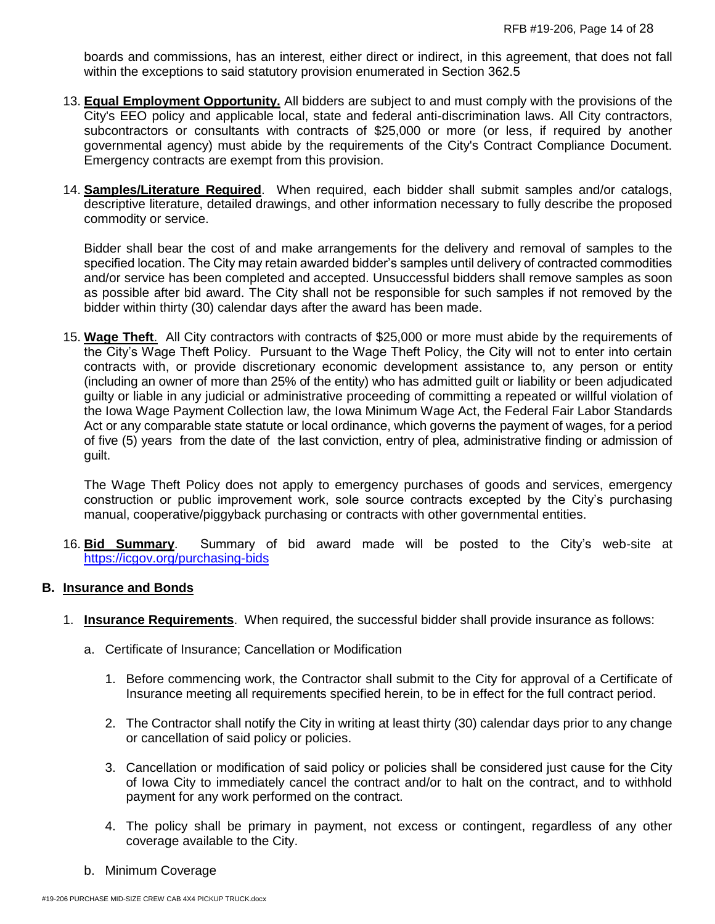boards and commissions, has an interest, either direct or indirect, in this agreement, that does not fall within the exceptions to said statutory provision enumerated in Section 362.5

- 13. **Equal Employment Opportunity.** All bidders are subject to and must comply with the provisions of the City's EEO policy and applicable local, state and federal anti-discrimination laws. All City contractors, subcontractors or consultants with contracts of \$25,000 or more (or less, if required by another governmental agency) must abide by the requirements of the City's Contract Compliance Document. Emergency contracts are exempt from this provision.
- 14. **Samples/Literature Required**. When required, each bidder shall submit samples and/or catalogs, descriptive literature, detailed drawings, and other information necessary to fully describe the proposed commodity or service.

Bidder shall bear the cost of and make arrangements for the delivery and removal of samples to the specified location. The City may retain awarded bidder's samples until delivery of contracted commodities and/or service has been completed and accepted. Unsuccessful bidders shall remove samples as soon as possible after bid award. The City shall not be responsible for such samples if not removed by the bidder within thirty (30) calendar days after the award has been made.

15. **Wage Theft**. All City contractors with contracts of \$25,000 or more must abide by the requirements of the City's Wage Theft Policy. Pursuant to the Wage Theft Policy, the City will not to enter into certain contracts with, or provide discretionary economic development assistance to, any person or entity (including an owner of more than 25% of the entity) who has admitted guilt or liability or been adjudicated guilty or liable in any judicial or administrative proceeding of committing a repeated or willful violation of the Iowa Wage Payment Collection law, the Iowa Minimum Wage Act, the Federal Fair Labor Standards Act or any comparable state statute or local ordinance, which governs the payment of wages, for a period of five (5) years from the date of the last conviction, entry of plea, administrative finding or admission of guilt.

The Wage Theft Policy does not apply to emergency purchases of goods and services, emergency construction or public improvement work, sole source contracts excepted by the City's purchasing manual, cooperative/piggyback purchasing or contracts with other governmental entities.

16. **Bid Summary**. Summary of bid award made will be posted to the City's web-site at <https://icgov.org/purchasing-bids>

### **B. Insurance and Bonds**

- 1. **Insurance Requirements**. When required, the successful bidder shall provide insurance as follows:
	- a. Certificate of Insurance; Cancellation or Modification
		- 1. Before commencing work, the Contractor shall submit to the City for approval of a Certificate of Insurance meeting all requirements specified herein, to be in effect for the full contract period.
		- 2. The Contractor shall notify the City in writing at least thirty (30) calendar days prior to any change or cancellation of said policy or policies.
		- 3. Cancellation or modification of said policy or policies shall be considered just cause for the City of Iowa City to immediately cancel the contract and/or to halt on the contract, and to withhold payment for any work performed on the contract.
		- 4. The policy shall be primary in payment, not excess or contingent, regardless of any other coverage available to the City.
	- b. Minimum Coverage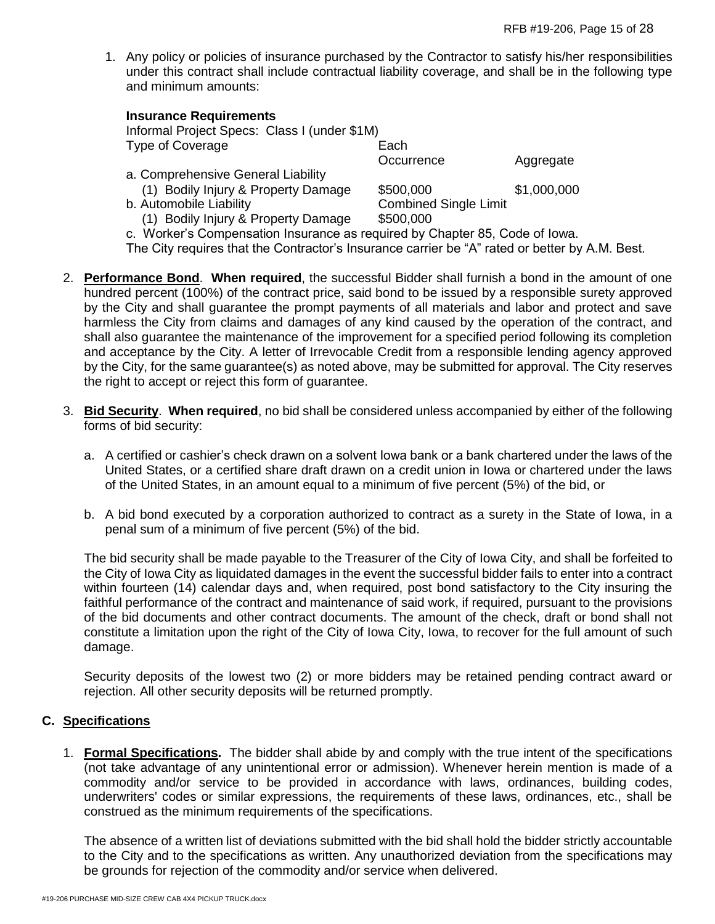1. Any policy or policies of insurance purchased by the Contractor to satisfy his/her responsibilities under this contract shall include contractual liability coverage, and shall be in the following type and minimum amounts:

| <b>INSURANCE REQUIRENTS</b>                                                 |                              |             |
|-----------------------------------------------------------------------------|------------------------------|-------------|
| Informal Project Specs: Class I (under \$1M)                                |                              |             |
| Type of Coverage                                                            | Each                         |             |
|                                                                             | Occurrence                   | Aggregate   |
| a. Comprehensive General Liability                                          |                              |             |
| (1) Bodily Injury & Property Damage                                         | \$500,000                    | \$1,000,000 |
| b. Automobile Liability                                                     | <b>Combined Single Limit</b> |             |
| (1) Bodily Injury & Property Damage                                         | \$500,000                    |             |
| c. Worker's Compensation Insurance as required by Chapter 85, Code of Iowa. |                              |             |

**Insurance Requirements**

The City requires that the Contractor's Insurance carrier be "A" rated or better by A.M. Best.

- 2. **Performance Bond**. **When required**, the successful Bidder shall furnish a bond in the amount of one hundred percent (100%) of the contract price, said bond to be issued by a responsible surety approved by the City and shall guarantee the prompt payments of all materials and labor and protect and save harmless the City from claims and damages of any kind caused by the operation of the contract, and shall also guarantee the maintenance of the improvement for a specified period following its completion and acceptance by the City. A letter of Irrevocable Credit from a responsible lending agency approved by the City, for the same guarantee(s) as noted above, may be submitted for approval. The City reserves the right to accept or reject this form of guarantee.
- 3. **Bid Security**. **When required**, no bid shall be considered unless accompanied by either of the following forms of bid security:
	- a. A certified or cashier's check drawn on a solvent Iowa bank or a bank chartered under the laws of the United States, or a certified share draft drawn on a credit union in Iowa or chartered under the laws of the United States, in an amount equal to a minimum of five percent (5%) of the bid, or
	- b. A bid bond executed by a corporation authorized to contract as a surety in the State of Iowa, in a penal sum of a minimum of five percent (5%) of the bid.

The bid security shall be made payable to the Treasurer of the City of Iowa City, and shall be forfeited to the City of Iowa City as liquidated damages in the event the successful bidder fails to enter into a contract within fourteen (14) calendar days and, when required, post bond satisfactory to the City insuring the faithful performance of the contract and maintenance of said work, if required, pursuant to the provisions of the bid documents and other contract documents. The amount of the check, draft or bond shall not constitute a limitation upon the right of the City of Iowa City, Iowa, to recover for the full amount of such damage.

Security deposits of the lowest two (2) or more bidders may be retained pending contract award or rejection. All other security deposits will be returned promptly.

# **C. Specifications**

1. **Formal Specifications.** The bidder shall abide by and comply with the true intent of the specifications (not take advantage of any unintentional error or admission). Whenever herein mention is made of a commodity and/or service to be provided in accordance with laws, ordinances, building codes, underwriters' codes or similar expressions, the requirements of these laws, ordinances, etc., shall be construed as the minimum requirements of the specifications.

The absence of a written list of deviations submitted with the bid shall hold the bidder strictly accountable to the City and to the specifications as written. Any unauthorized deviation from the specifications may be grounds for rejection of the commodity and/or service when delivered.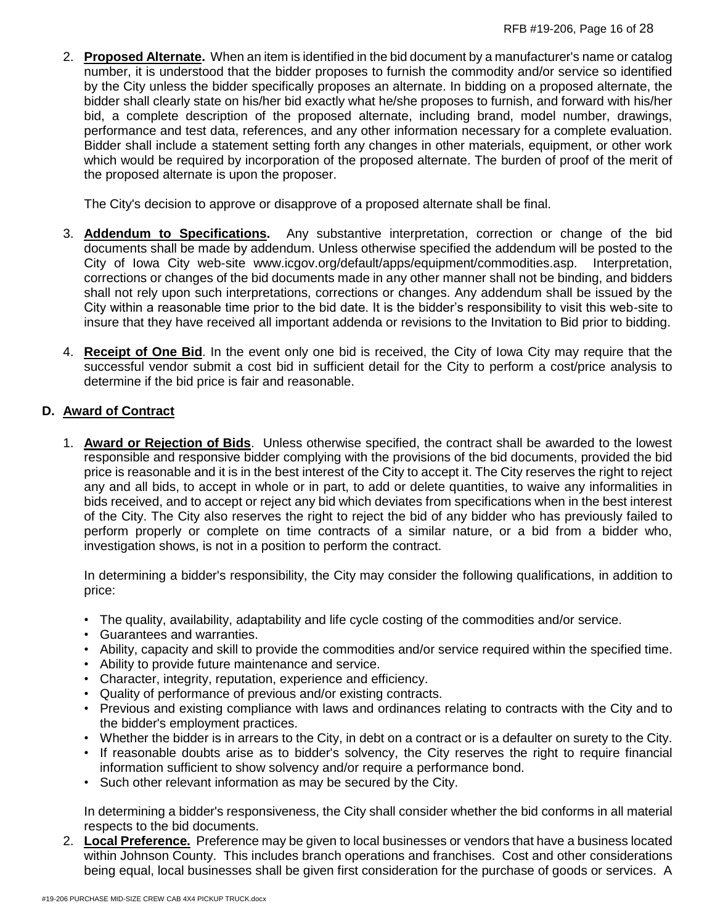2. **Proposed Alternate.** When an item is identified in the bid document by a manufacturer's name or catalog number, it is understood that the bidder proposes to furnish the commodity and/or service so identified by the City unless the bidder specifically proposes an alternate. In bidding on a proposed alternate, the bidder shall clearly state on his/her bid exactly what he/she proposes to furnish, and forward with his/her bid, a complete description of the proposed alternate, including brand, model number, drawings, performance and test data, references, and any other information necessary for a complete evaluation. Bidder shall include a statement setting forth any changes in other materials, equipment, or other work which would be required by incorporation of the proposed alternate. The burden of proof of the merit of the proposed alternate is upon the proposer.

The City's decision to approve or disapprove of a proposed alternate shall be final.

- 3. **Addendum to Specifications.** Any substantive interpretation, correction or change of the bid documents shall be made by addendum. Unless otherwise specified the addendum will be posted to the City of Iowa City web-site www.icgov.org/default/apps/equipment/commodities.asp. Interpretation, corrections or changes of the bid documents made in any other manner shall not be binding, and bidders shall not rely upon such interpretations, corrections or changes. Any addendum shall be issued by the City within a reasonable time prior to the bid date. It is the bidder's responsibility to visit this web-site to insure that they have received all important addenda or revisions to the Invitation to Bid prior to bidding.
- 4. **Receipt of One Bid**. In the event only one bid is received, the City of Iowa City may require that the successful vendor submit a cost bid in sufficient detail for the City to perform a cost/price analysis to determine if the bid price is fair and reasonable.

# **D. Award of Contract**

1. **Award or Rejection of Bids**. Unless otherwise specified, the contract shall be awarded to the lowest responsible and responsive bidder complying with the provisions of the bid documents, provided the bid price is reasonable and it is in the best interest of the City to accept it. The City reserves the right to reject any and all bids, to accept in whole or in part, to add or delete quantities, to waive any informalities in bids received, and to accept or reject any bid which deviates from specifications when in the best interest of the City. The City also reserves the right to reject the bid of any bidder who has previously failed to perform properly or complete on time contracts of a similar nature, or a bid from a bidder who, investigation shows, is not in a position to perform the contract.

In determining a bidder's responsibility, the City may consider the following qualifications, in addition to price:

- The quality, availability, adaptability and life cycle costing of the commodities and/or service.
- Guarantees and warranties.
- Ability, capacity and skill to provide the commodities and/or service required within the specified time.
- Ability to provide future maintenance and service.
- Character, integrity, reputation, experience and efficiency.
- Quality of performance of previous and/or existing contracts.
- Previous and existing compliance with laws and ordinances relating to contracts with the City and to the bidder's employment practices.
- Whether the bidder is in arrears to the City, in debt on a contract or is a defaulter on surety to the City.
- If reasonable doubts arise as to bidder's solvency, the City reserves the right to require financial information sufficient to show solvency and/or require a performance bond.
- Such other relevant information as may be secured by the City.

In determining a bidder's responsiveness, the City shall consider whether the bid conforms in all material respects to the bid documents.

2. **Local Preference.** Preference may be given to local businesses or vendors that have a business located within Johnson County. This includes branch operations and franchises. Cost and other considerations being equal, local businesses shall be given first consideration for the purchase of goods or services. A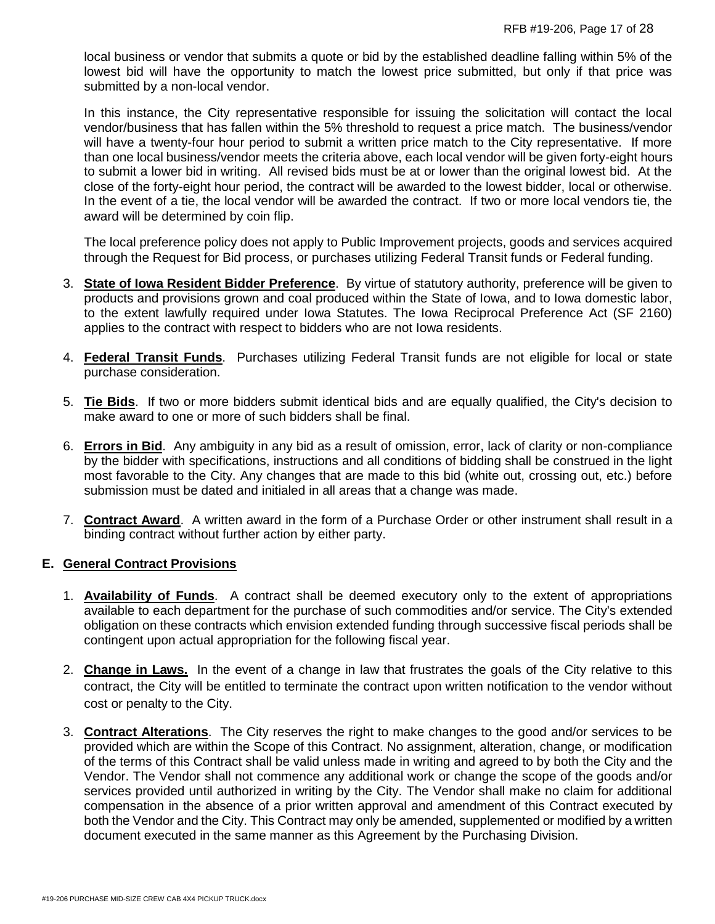local business or vendor that submits a quote or bid by the established deadline falling within 5% of the lowest bid will have the opportunity to match the lowest price submitted, but only if that price was submitted by a non-local vendor.

In this instance, the City representative responsible for issuing the solicitation will contact the local vendor/business that has fallen within the 5% threshold to request a price match. The business/vendor will have a twenty-four hour period to submit a written price match to the City representative. If more than one local business/vendor meets the criteria above, each local vendor will be given forty-eight hours to submit a lower bid in writing. All revised bids must be at or lower than the original lowest bid. At the close of the forty-eight hour period, the contract will be awarded to the lowest bidder, local or otherwise. In the event of a tie, the local vendor will be awarded the contract. If two or more local vendors tie, the award will be determined by coin flip.

The local preference policy does not apply to Public Improvement projects, goods and services acquired through the Request for Bid process, or purchases utilizing Federal Transit funds or Federal funding.

- 3. **State of Iowa Resident Bidder Preference**. By virtue of statutory authority, preference will be given to products and provisions grown and coal produced within the State of Iowa, and to Iowa domestic labor, to the extent lawfully required under Iowa Statutes. The Iowa Reciprocal Preference Act (SF 2160) applies to the contract with respect to bidders who are not Iowa residents.
- 4. **Federal Transit Funds**. Purchases utilizing Federal Transit funds are not eligible for local or state purchase consideration.
- 5. **Tie Bids**. If two or more bidders submit identical bids and are equally qualified, the City's decision to make award to one or more of such bidders shall be final.
- 6. **Errors in Bid**. Any ambiguity in any bid as a result of omission, error, lack of clarity or non-compliance by the bidder with specifications, instructions and all conditions of bidding shall be construed in the light most favorable to the City. Any changes that are made to this bid (white out, crossing out, etc.) before submission must be dated and initialed in all areas that a change was made.
- 7. **Contract Award**. A written award in the form of a Purchase Order or other instrument shall result in a binding contract without further action by either party.

# **E. General Contract Provisions**

- 1. **Availability of Funds**. A contract shall be deemed executory only to the extent of appropriations available to each department for the purchase of such commodities and/or service. The City's extended obligation on these contracts which envision extended funding through successive fiscal periods shall be contingent upon actual appropriation for the following fiscal year.
- 2. **Change in Laws.** In the event of a change in law that frustrates the goals of the City relative to this contract, the City will be entitled to terminate the contract upon written notification to the vendor without cost or penalty to the City.
- 3. **Contract Alterations**. The City reserves the right to make changes to the good and/or services to be provided which are within the Scope of this Contract. No assignment, alteration, change, or modification of the terms of this Contract shall be valid unless made in writing and agreed to by both the City and the Vendor. The Vendor shall not commence any additional work or change the scope of the goods and/or services provided until authorized in writing by the City. The Vendor shall make no claim for additional compensation in the absence of a prior written approval and amendment of this Contract executed by both the Vendor and the City. This Contract may only be amended, supplemented or modified by a written document executed in the same manner as this Agreement by the Purchasing Division.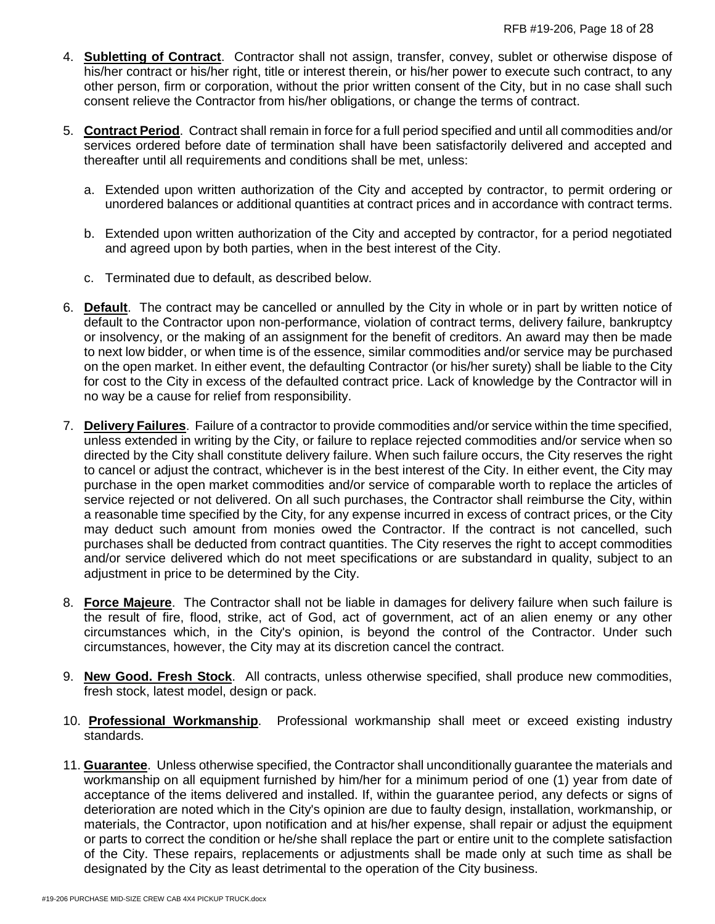- 4. **Subletting of Contract**. Contractor shall not assign, transfer, convey, sublet or otherwise dispose of his/her contract or his/her right, title or interest therein, or his/her power to execute such contract, to any other person, firm or corporation, without the prior written consent of the City, but in no case shall such consent relieve the Contractor from his/her obligations, or change the terms of contract.
- 5. **Contract Period**. Contract shall remain in force for a full period specified and until all commodities and/or services ordered before date of termination shall have been satisfactorily delivered and accepted and thereafter until all requirements and conditions shall be met, unless:
	- a. Extended upon written authorization of the City and accepted by contractor, to permit ordering or unordered balances or additional quantities at contract prices and in accordance with contract terms.
	- b. Extended upon written authorization of the City and accepted by contractor, for a period negotiated and agreed upon by both parties, when in the best interest of the City.
	- c. Terminated due to default, as described below.
- 6. **Default**. The contract may be cancelled or annulled by the City in whole or in part by written notice of default to the Contractor upon non-performance, violation of contract terms, delivery failure, bankruptcy or insolvency, or the making of an assignment for the benefit of creditors. An award may then be made to next low bidder, or when time is of the essence, similar commodities and/or service may be purchased on the open market. In either event, the defaulting Contractor (or his/her surety) shall be liable to the City for cost to the City in excess of the defaulted contract price. Lack of knowledge by the Contractor will in no way be a cause for relief from responsibility.
- 7. **Delivery Failures**. Failure of a contractor to provide commodities and/or service within the time specified, unless extended in writing by the City, or failure to replace rejected commodities and/or service when so directed by the City shall constitute delivery failure. When such failure occurs, the City reserves the right to cancel or adjust the contract, whichever is in the best interest of the City. In either event, the City may purchase in the open market commodities and/or service of comparable worth to replace the articles of service rejected or not delivered. On all such purchases, the Contractor shall reimburse the City, within a reasonable time specified by the City, for any expense incurred in excess of contract prices, or the City may deduct such amount from monies owed the Contractor. If the contract is not cancelled, such purchases shall be deducted from contract quantities. The City reserves the right to accept commodities and/or service delivered which do not meet specifications or are substandard in quality, subject to an adjustment in price to be determined by the City.
- 8. **Force Majeure**. The Contractor shall not be liable in damages for delivery failure when such failure is the result of fire, flood, strike, act of God, act of government, act of an alien enemy or any other circumstances which, in the City's opinion, is beyond the control of the Contractor. Under such circumstances, however, the City may at its discretion cancel the contract.
- 9. **New Good. Fresh Stock**. All contracts, unless otherwise specified, shall produce new commodities, fresh stock, latest model, design or pack.
- 10. **Professional Workmanship**. Professional workmanship shall meet or exceed existing industry standards.
- 11. **Guarantee**. Unless otherwise specified, the Contractor shall unconditionally guarantee the materials and workmanship on all equipment furnished by him/her for a minimum period of one (1) year from date of acceptance of the items delivered and installed. If, within the guarantee period, any defects or signs of deterioration are noted which in the City's opinion are due to faulty design, installation, workmanship, or materials, the Contractor, upon notification and at his/her expense, shall repair or adjust the equipment or parts to correct the condition or he/she shall replace the part or entire unit to the complete satisfaction of the City. These repairs, replacements or adjustments shall be made only at such time as shall be designated by the City as least detrimental to the operation of the City business.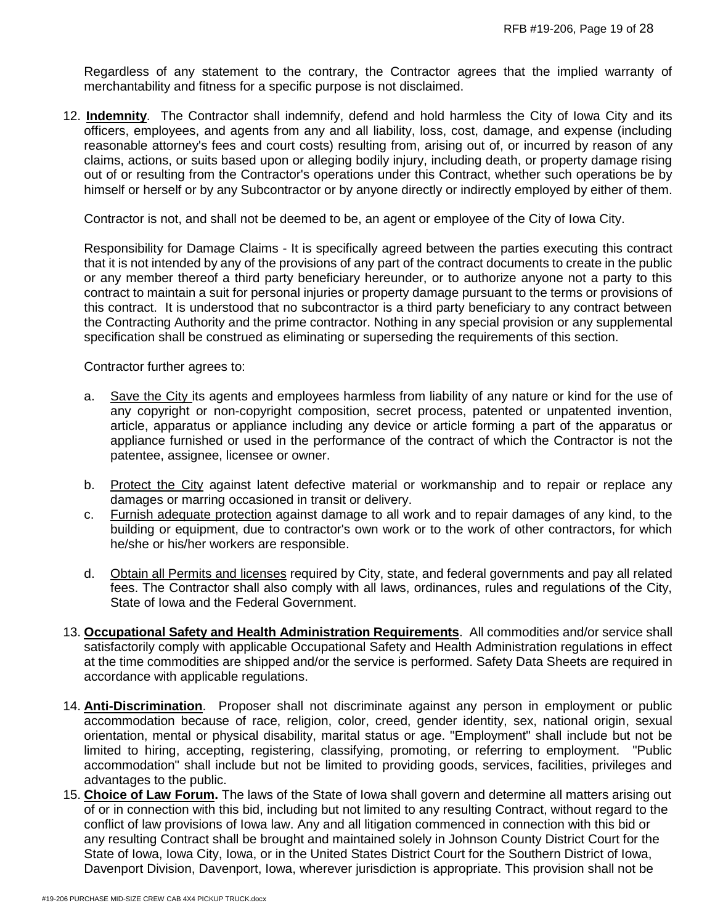Regardless of any statement to the contrary, the Contractor agrees that the implied warranty of merchantability and fitness for a specific purpose is not disclaimed.

12. **Indemnity**. The Contractor shall indemnify, defend and hold harmless the City of Iowa City and its officers, employees, and agents from any and all liability, loss, cost, damage, and expense (including reasonable attorney's fees and court costs) resulting from, arising out of, or incurred by reason of any claims, actions, or suits based upon or alleging bodily injury, including death, or property damage rising out of or resulting from the Contractor's operations under this Contract, whether such operations be by himself or herself or by any Subcontractor or by anyone directly or indirectly employed by either of them.

Contractor is not, and shall not be deemed to be, an agent or employee of the City of Iowa City.

Responsibility for Damage Claims - It is specifically agreed between the parties executing this contract that it is not intended by any of the provisions of any part of the contract documents to create in the public or any member thereof a third party beneficiary hereunder, or to authorize anyone not a party to this contract to maintain a suit for personal injuries or property damage pursuant to the terms or provisions of this contract. It is understood that no subcontractor is a third party beneficiary to any contract between the Contracting Authority and the prime contractor. Nothing in any special provision or any supplemental specification shall be construed as eliminating or superseding the requirements of this section.

Contractor further agrees to:

- a. Save the City its agents and employees harmless from liability of any nature or kind for the use of any copyright or non-copyright composition, secret process, patented or unpatented invention, article, apparatus or appliance including any device or article forming a part of the apparatus or appliance furnished or used in the performance of the contract of which the Contractor is not the patentee, assignee, licensee or owner.
- b. Protect the City against latent defective material or workmanship and to repair or replace any damages or marring occasioned in transit or delivery.
- c. Furnish adequate protection against damage to all work and to repair damages of any kind, to the building or equipment, due to contractor's own work or to the work of other contractors, for which he/she or his/her workers are responsible.
- d. Obtain all Permits and licenses required by City, state, and federal governments and pay all related fees. The Contractor shall also comply with all laws, ordinances, rules and regulations of the City, State of Iowa and the Federal Government.
- 13. **Occupational Safety and Health Administration Requirements**. All commodities and/or service shall satisfactorily comply with applicable Occupational Safety and Health Administration regulations in effect at the time commodities are shipped and/or the service is performed. Safety Data Sheets are required in accordance with applicable regulations.
- 14. **Anti-Discrimination**. Proposer shall not discriminate against any person in employment or public accommodation because of race, religion, color, creed, gender identity, sex, national origin, sexual orientation, mental or physical disability, marital status or age. "Employment" shall include but not be limited to hiring, accepting, registering, classifying, promoting, or referring to employment. "Public accommodation" shall include but not be limited to providing goods, services, facilities, privileges and advantages to the public.
- 15. **Choice of Law Forum.** The laws of the State of Iowa shall govern and determine all matters arising out of or in connection with this bid, including but not limited to any resulting Contract, without regard to the conflict of law provisions of Iowa law. Any and all litigation commenced in connection with this bid or any resulting Contract shall be brought and maintained solely in Johnson County District Court for the State of Iowa, Iowa City, Iowa, or in the United States District Court for the Southern District of Iowa, Davenport Division, Davenport, Iowa, wherever jurisdiction is appropriate. This provision shall not be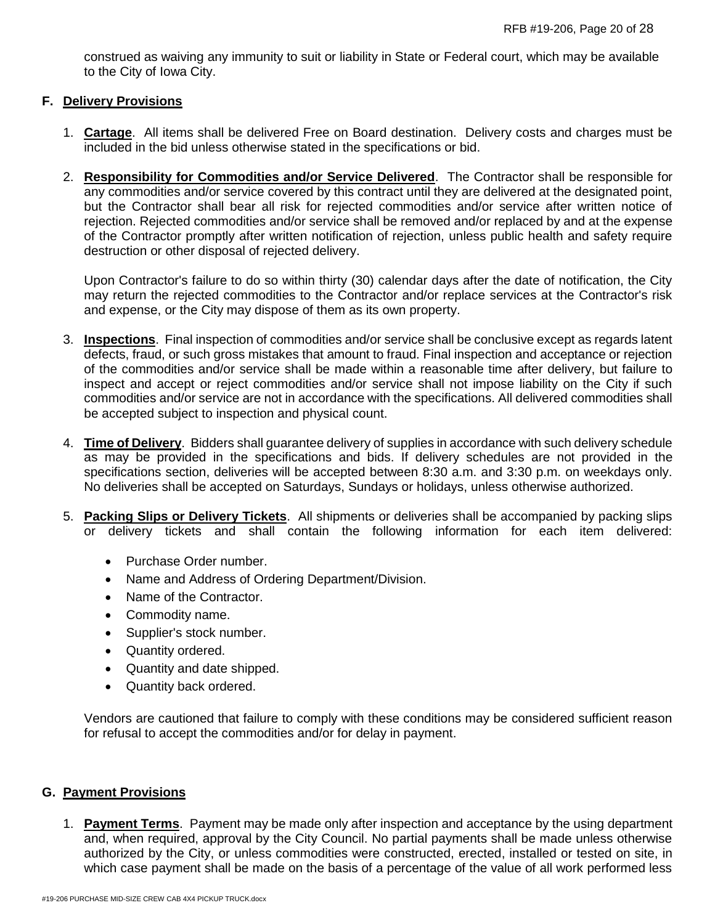construed as waiving any immunity to suit or liability in State or Federal court, which may be available to the City of Iowa City.

### **F. Delivery Provisions**

- 1. **Cartage**. All items shall be delivered Free on Board destination. Delivery costs and charges must be included in the bid unless otherwise stated in the specifications or bid.
- 2. **Responsibility for Commodities and/or Service Delivered**. The Contractor shall be responsible for any commodities and/or service covered by this contract until they are delivered at the designated point, but the Contractor shall bear all risk for rejected commodities and/or service after written notice of rejection. Rejected commodities and/or service shall be removed and/or replaced by and at the expense of the Contractor promptly after written notification of rejection, unless public health and safety require destruction or other disposal of rejected delivery.

Upon Contractor's failure to do so within thirty (30) calendar days after the date of notification, the City may return the rejected commodities to the Contractor and/or replace services at the Contractor's risk and expense, or the City may dispose of them as its own property.

- 3. **Inspections**. Final inspection of commodities and/or service shall be conclusive except as regards latent defects, fraud, or such gross mistakes that amount to fraud. Final inspection and acceptance or rejection of the commodities and/or service shall be made within a reasonable time after delivery, but failure to inspect and accept or reject commodities and/or service shall not impose liability on the City if such commodities and/or service are not in accordance with the specifications. All delivered commodities shall be accepted subject to inspection and physical count.
- 4. **Time of Delivery**. Bidders shall guarantee delivery of supplies in accordance with such delivery schedule as may be provided in the specifications and bids. If delivery schedules are not provided in the specifications section, deliveries will be accepted between 8:30 a.m. and 3:30 p.m. on weekdays only. No deliveries shall be accepted on Saturdays, Sundays or holidays, unless otherwise authorized.
- 5. **Packing Slips or Delivery Tickets**. All shipments or deliveries shall be accompanied by packing slips or delivery tickets and shall contain the following information for each item delivered:
	- Purchase Order number.
	- Name and Address of Ordering Department/Division.
	- Name of the Contractor.
	- Commodity name.
	- Supplier's stock number.
	- Quantity ordered.
	- Quantity and date shipped.
	- Quantity back ordered.

Vendors are cautioned that failure to comply with these conditions may be considered sufficient reason for refusal to accept the commodities and/or for delay in payment.

### **G. Payment Provisions**

1. **Payment Terms**. Payment may be made only after inspection and acceptance by the using department and, when required, approval by the City Council. No partial payments shall be made unless otherwise authorized by the City, or unless commodities were constructed, erected, installed or tested on site, in which case payment shall be made on the basis of a percentage of the value of all work performed less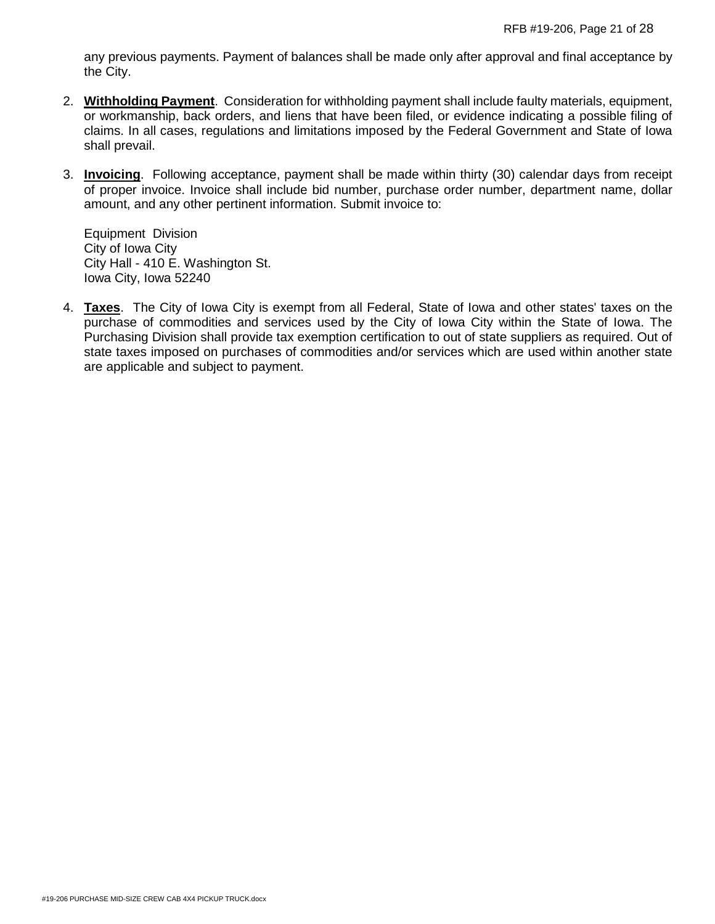any previous payments. Payment of balances shall be made only after approval and final acceptance by the City.

- 2. **Withholding Payment**. Consideration for withholding payment shall include faulty materials, equipment, or workmanship, back orders, and liens that have been filed, or evidence indicating a possible filing of claims. In all cases, regulations and limitations imposed by the Federal Government and State of Iowa shall prevail.
- 3. **Invoicing**. Following acceptance, payment shall be made within thirty (30) calendar days from receipt of proper invoice. Invoice shall include bid number, purchase order number, department name, dollar amount, and any other pertinent information. Submit invoice to:

Equipment Division City of Iowa City City Hall - 410 E. Washington St. Iowa City, Iowa 52240

4. **Taxes**. The City of Iowa City is exempt from all Federal, State of Iowa and other states' taxes on the purchase of commodities and services used by the City of Iowa City within the State of Iowa. The Purchasing Division shall provide tax exemption certification to out of state suppliers as required. Out of state taxes imposed on purchases of commodities and/or services which are used within another state are applicable and subject to payment.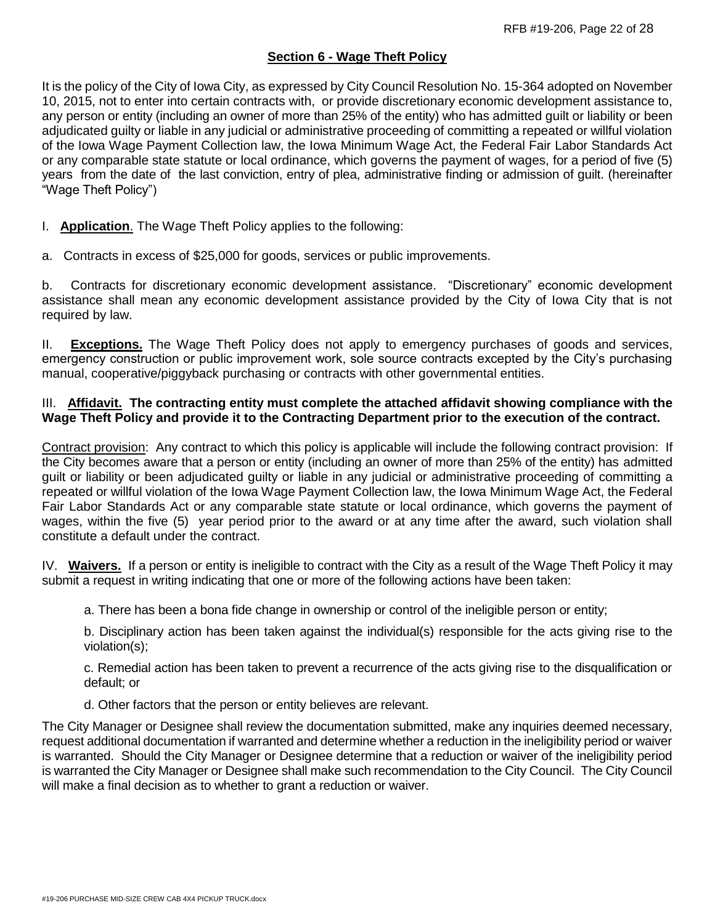# **Section 6 - Wage Theft Policy**

It is the policy of the City of Iowa City, as expressed by City Council Resolution No. 15-364 adopted on November 10, 2015, not to enter into certain contracts with, or provide discretionary economic development assistance to, any person or entity (including an owner of more than 25% of the entity) who has admitted guilt or liability or been adjudicated guilty or liable in any judicial or administrative proceeding of committing a repeated or willful violation of the Iowa Wage Payment Collection law, the Iowa Minimum Wage Act, the Federal Fair Labor Standards Act or any comparable state statute or local ordinance, which governs the payment of wages, for a period of five (5) years from the date of the last conviction, entry of plea, administrative finding or admission of guilt. (hereinafter "Wage Theft Policy")

# I. **Application**. The Wage Theft Policy applies to the following:

a. Contracts in excess of \$25,000 for goods, services or public improvements.

b. Contracts for discretionary economic development assistance. "Discretionary" economic development assistance shall mean any economic development assistance provided by the City of Iowa City that is not required by law.

II. **Exceptions.** The Wage Theft Policy does not apply to emergency purchases of goods and services, emergency construction or public improvement work, sole source contracts excepted by the City's purchasing manual, cooperative/piggyback purchasing or contracts with other governmental entities.

### III. **Affidavit. The contracting entity must complete the attached affidavit showing compliance with the Wage Theft Policy and provide it to the Contracting Department prior to the execution of the contract.**

Contract provision: Any contract to which this policy is applicable will include the following contract provision: If the City becomes aware that a person or entity (including an owner of more than 25% of the entity) has admitted guilt or liability or been adjudicated guilty or liable in any judicial or administrative proceeding of committing a repeated or willful violation of the Iowa Wage Payment Collection law, the Iowa Minimum Wage Act, the Federal Fair Labor Standards Act or any comparable state statute or local ordinance, which governs the payment of wages, within the five (5) year period prior to the award or at any time after the award, such violation shall constitute a default under the contract.

IV. **Waivers.** If a person or entity is ineligible to contract with the City as a result of the Wage Theft Policy it may submit a request in writing indicating that one or more of the following actions have been taken:

a. There has been a bona fide change in ownership or control of the ineligible person or entity;

b. Disciplinary action has been taken against the individual(s) responsible for the acts giving rise to the violation(s);

c. Remedial action has been taken to prevent a recurrence of the acts giving rise to the disqualification or default; or

d. Other factors that the person or entity believes are relevant.

The City Manager or Designee shall review the documentation submitted, make any inquiries deemed necessary, request additional documentation if warranted and determine whether a reduction in the ineligibility period or waiver is warranted. Should the City Manager or Designee determine that a reduction or waiver of the ineligibility period is warranted the City Manager or Designee shall make such recommendation to the City Council. The City Council will make a final decision as to whether to grant a reduction or waiver.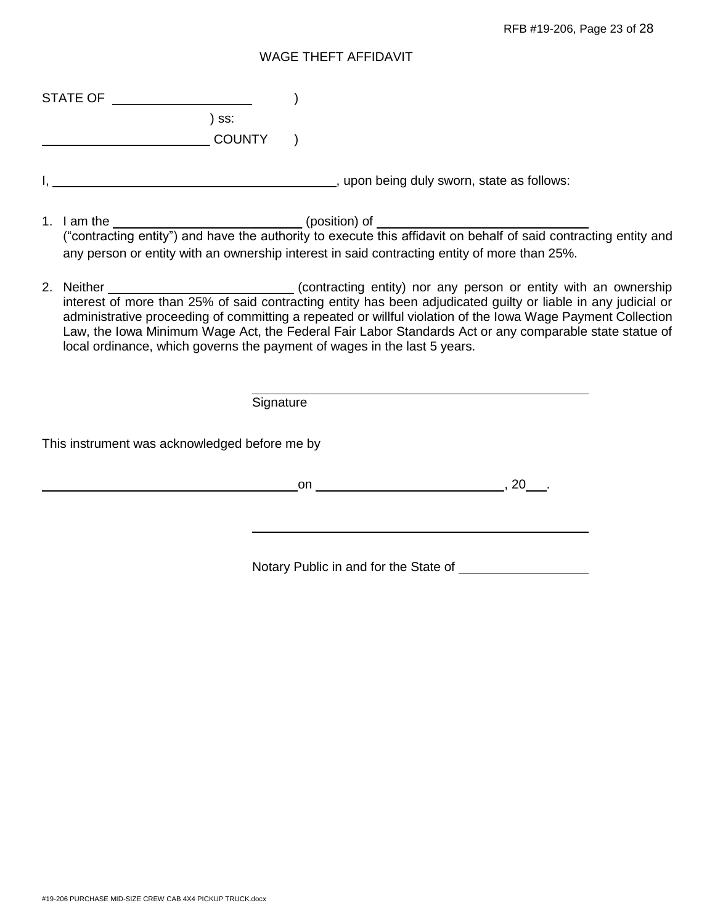#### WAGE THEFT AFFIDAVIT

| <b>STATE OF</b> |  |
|-----------------|--|
|                 |  |

) ss: **COUNTY** )

- I, , upon being duly sworn, state as follows:
- 1. I am the \_\_\_\_\_\_\_\_\_\_\_\_\_\_\_\_\_\_\_\_\_\_\_\_\_\_\_\_\_\_\_\_\_(position) of \_\_\_\_\_\_ ("contracting entity") and have the authority to execute this affidavit on behalf of said contracting entity and any person or entity with an ownership interest in said contracting entity of more than 25%.
- 2. Neither **Contracting entity**) nor any person or entity with an ownership interest of more than 25% of said contracting entity has been adjudicated guilty or liable in any judicial or administrative proceeding of committing a repeated or willful violation of the Iowa Wage Payment Collection Law, the Iowa Minimum Wage Act, the Federal Fair Labor Standards Act or any comparable state statue of local ordinance, which governs the payment of wages in the last 5 years.

| Signature                                     |     |
|-----------------------------------------------|-----|
| This instrument was acknowledged before me by |     |
| on                                            | 20. |

Notary Public in and for the State of **Notary Public in and for the State of**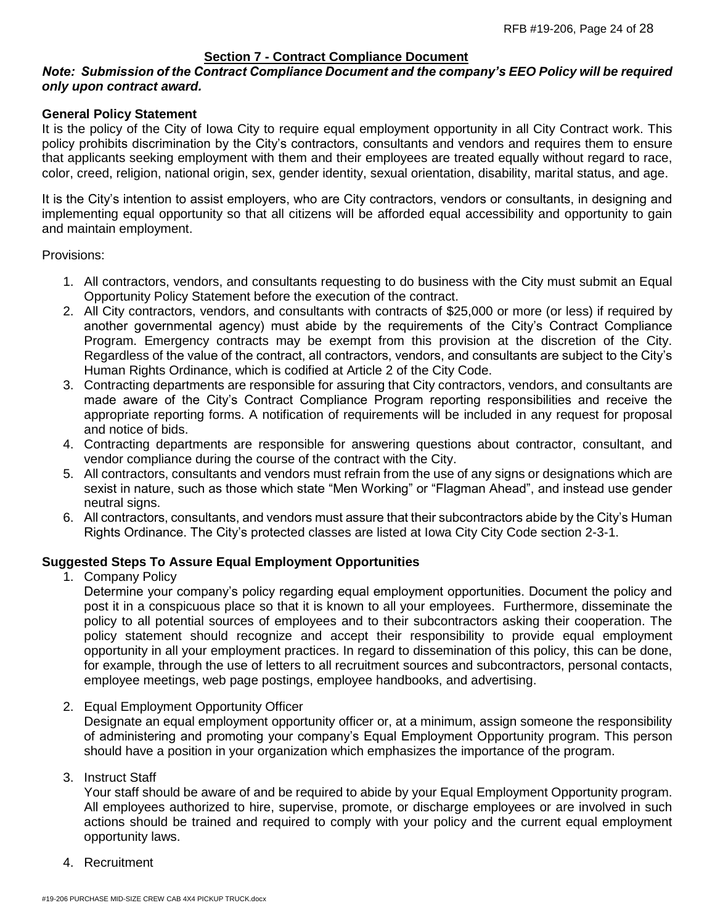# **Section 7 - Contract Compliance Document**

### *Note: Submission of the Contract Compliance Document and the company's EEO Policy will be required only upon contract award.*

#### **General Policy Statement**

It is the policy of the City of Iowa City to require equal employment opportunity in all City Contract work. This policy prohibits discrimination by the City's contractors, consultants and vendors and requires them to ensure that applicants seeking employment with them and their employees are treated equally without regard to race, color, creed, religion, national origin, sex, gender identity, sexual orientation, disability, marital status, and age.

It is the City's intention to assist employers, who are City contractors, vendors or consultants, in designing and implementing equal opportunity so that all citizens will be afforded equal accessibility and opportunity to gain and maintain employment.

Provisions:

- 1. All contractors, vendors, and consultants requesting to do business with the City must submit an Equal Opportunity Policy Statement before the execution of the contract.
- 2. All City contractors, vendors, and consultants with contracts of \$25,000 or more (or less) if required by another governmental agency) must abide by the requirements of the City's Contract Compliance Program. Emergency contracts may be exempt from this provision at the discretion of the City. Regardless of the value of the contract, all contractors, vendors, and consultants are subject to the City's Human Rights Ordinance, which is codified at Article 2 of the City Code.
- 3. Contracting departments are responsible for assuring that City contractors, vendors, and consultants are made aware of the City's Contract Compliance Program reporting responsibilities and receive the appropriate reporting forms. A notification of requirements will be included in any request for proposal and notice of bids.
- 4. Contracting departments are responsible for answering questions about contractor, consultant, and vendor compliance during the course of the contract with the City.
- 5. All contractors, consultants and vendors must refrain from the use of any signs or designations which are sexist in nature, such as those which state "Men Working" or "Flagman Ahead", and instead use gender neutral signs.
- 6. All contractors, consultants, and vendors must assure that their subcontractors abide by the City's Human Rights Ordinance. The City's protected classes are listed at Iowa City City Code section 2-3-1.

### **Suggested Steps To Assure Equal Employment Opportunities**

1. Company Policy

Determine your company's policy regarding equal employment opportunities. Document the policy and post it in a conspicuous place so that it is known to all your employees. Furthermore, disseminate the policy to all potential sources of employees and to their subcontractors asking their cooperation. The policy statement should recognize and accept their responsibility to provide equal employment opportunity in all your employment practices. In regard to dissemination of this policy, this can be done, for example, through the use of letters to all recruitment sources and subcontractors, personal contacts, employee meetings, web page postings, employee handbooks, and advertising.

2. Equal Employment Opportunity Officer

Designate an equal employment opportunity officer or, at a minimum, assign someone the responsibility of administering and promoting your company's Equal Employment Opportunity program. This person should have a position in your organization which emphasizes the importance of the program.

3. Instruct Staff

Your staff should be aware of and be required to abide by your Equal Employment Opportunity program. All employees authorized to hire, supervise, promote, or discharge employees or are involved in such actions should be trained and required to comply with your policy and the current equal employment opportunity laws.

4. Recruitment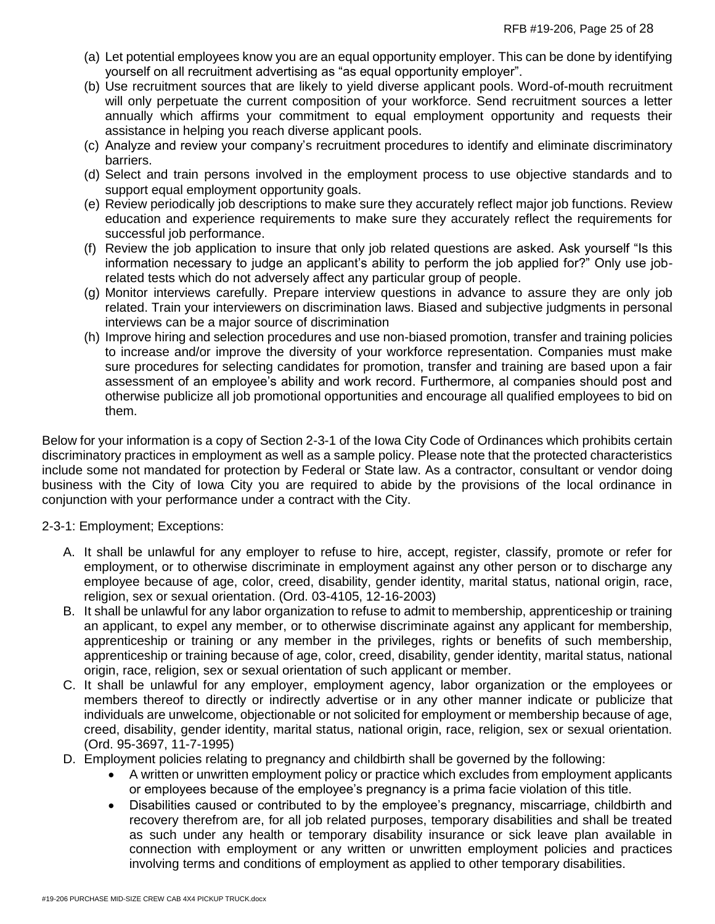- (a) Let potential employees know you are an equal opportunity employer. This can be done by identifying yourself on all recruitment advertising as "as equal opportunity employer".
- (b) Use recruitment sources that are likely to yield diverse applicant pools. Word-of-mouth recruitment will only perpetuate the current composition of your workforce. Send recruitment sources a letter annually which affirms your commitment to equal employment opportunity and requests their assistance in helping you reach diverse applicant pools.
- (c) Analyze and review your company's recruitment procedures to identify and eliminate discriminatory barriers.
- (d) Select and train persons involved in the employment process to use objective standards and to support equal employment opportunity goals.
- (e) Review periodically job descriptions to make sure they accurately reflect major job functions. Review education and experience requirements to make sure they accurately reflect the requirements for successful job performance.
- (f) Review the job application to insure that only job related questions are asked. Ask yourself "Is this information necessary to judge an applicant's ability to perform the job applied for?" Only use jobrelated tests which do not adversely affect any particular group of people.
- (g) Monitor interviews carefully. Prepare interview questions in advance to assure they are only job related. Train your interviewers on discrimination laws. Biased and subjective judgments in personal interviews can be a major source of discrimination
- (h) Improve hiring and selection procedures and use non-biased promotion, transfer and training policies to increase and/or improve the diversity of your workforce representation. Companies must make sure procedures for selecting candidates for promotion, transfer and training are based upon a fair assessment of an employee's ability and work record. Furthermore, al companies should post and otherwise publicize all job promotional opportunities and encourage all qualified employees to bid on them.

Below for your information is a copy of Section 2-3-1 of the Iowa City Code of Ordinances which prohibits certain discriminatory practices in employment as well as a sample policy. Please note that the protected characteristics include some not mandated for protection by Federal or State law. As a contractor, consultant or vendor doing business with the City of Iowa City you are required to abide by the provisions of the local ordinance in conjunction with your performance under a contract with the City.

# 2-3-1: Employment; Exceptions:

- A. It shall be unlawful for any employer to refuse to hire, accept, register, classify, promote or refer for employment, or to otherwise discriminate in employment against any other person or to discharge any employee because of age, color, creed, disability, gender identity, marital status, national origin, race, religion, sex or sexual orientation. (Ord. 03-4105, 12-16-2003)
- B. It shall be unlawful for any labor organization to refuse to admit to membership, apprenticeship or training an applicant, to expel any member, or to otherwise discriminate against any applicant for membership, apprenticeship or training or any member in the privileges, rights or benefits of such membership, apprenticeship or training because of age, color, creed, disability, gender identity, marital status, national origin, race, religion, sex or sexual orientation of such applicant or member.
- C. It shall be unlawful for any employer, employment agency, labor organization or the employees or members thereof to directly or indirectly advertise or in any other manner indicate or publicize that individuals are unwelcome, objectionable or not solicited for employment or membership because of age, creed, disability, gender identity, marital status, national origin, race, religion, sex or sexual orientation. (Ord. 95-3697, 11-7-1995)
- D. Employment policies relating to pregnancy and childbirth shall be governed by the following:
	- A written or unwritten employment policy or practice which excludes from employment applicants or employees because of the employee's pregnancy is a prima facie violation of this title.
	- Disabilities caused or contributed to by the employee's pregnancy, miscarriage, childbirth and recovery therefrom are, for all job related purposes, temporary disabilities and shall be treated as such under any health or temporary disability insurance or sick leave plan available in connection with employment or any written or unwritten employment policies and practices involving terms and conditions of employment as applied to other temporary disabilities.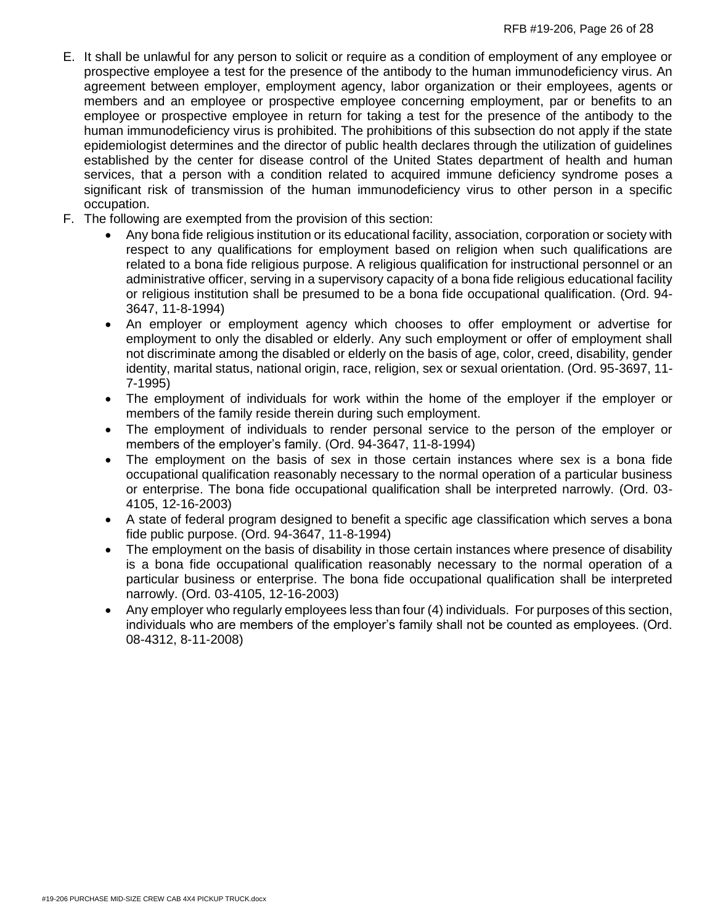- E. It shall be unlawful for any person to solicit or require as a condition of employment of any employee or prospective employee a test for the presence of the antibody to the human immunodeficiency virus. An agreement between employer, employment agency, labor organization or their employees, agents or members and an employee or prospective employee concerning employment, par or benefits to an employee or prospective employee in return for taking a test for the presence of the antibody to the human immunodeficiency virus is prohibited. The prohibitions of this subsection do not apply if the state epidemiologist determines and the director of public health declares through the utilization of guidelines established by the center for disease control of the United States department of health and human services, that a person with a condition related to acquired immune deficiency syndrome poses a significant risk of transmission of the human immunodeficiency virus to other person in a specific occupation.
- F. The following are exempted from the provision of this section:
	- Any bona fide religious institution or its educational facility, association, corporation or society with respect to any qualifications for employment based on religion when such qualifications are related to a bona fide religious purpose. A religious qualification for instructional personnel or an administrative officer, serving in a supervisory capacity of a bona fide religious educational facility or religious institution shall be presumed to be a bona fide occupational qualification. (Ord. 94- 3647, 11-8-1994)
	- An employer or employment agency which chooses to offer employment or advertise for employment to only the disabled or elderly. Any such employment or offer of employment shall not discriminate among the disabled or elderly on the basis of age, color, creed, disability, gender identity, marital status, national origin, race, religion, sex or sexual orientation. (Ord. 95-3697, 11- 7-1995)
	- The employment of individuals for work within the home of the employer if the employer or members of the family reside therein during such employment.
	- The employment of individuals to render personal service to the person of the employer or members of the employer's family. (Ord. 94-3647, 11-8-1994)
	- The employment on the basis of sex in those certain instances where sex is a bona fide occupational qualification reasonably necessary to the normal operation of a particular business or enterprise. The bona fide occupational qualification shall be interpreted narrowly. (Ord. 03- 4105, 12-16-2003)
	- A state of federal program designed to benefit a specific age classification which serves a bona fide public purpose. (Ord. 94-3647, 11-8-1994)
	- The employment on the basis of disability in those certain instances where presence of disability is a bona fide occupational qualification reasonably necessary to the normal operation of a particular business or enterprise. The bona fide occupational qualification shall be interpreted narrowly. (Ord. 03-4105, 12-16-2003)
	- Any employer who regularly employees less than four (4) individuals. For purposes of this section, individuals who are members of the employer's family shall not be counted as employees. (Ord. 08-4312, 8-11-2008)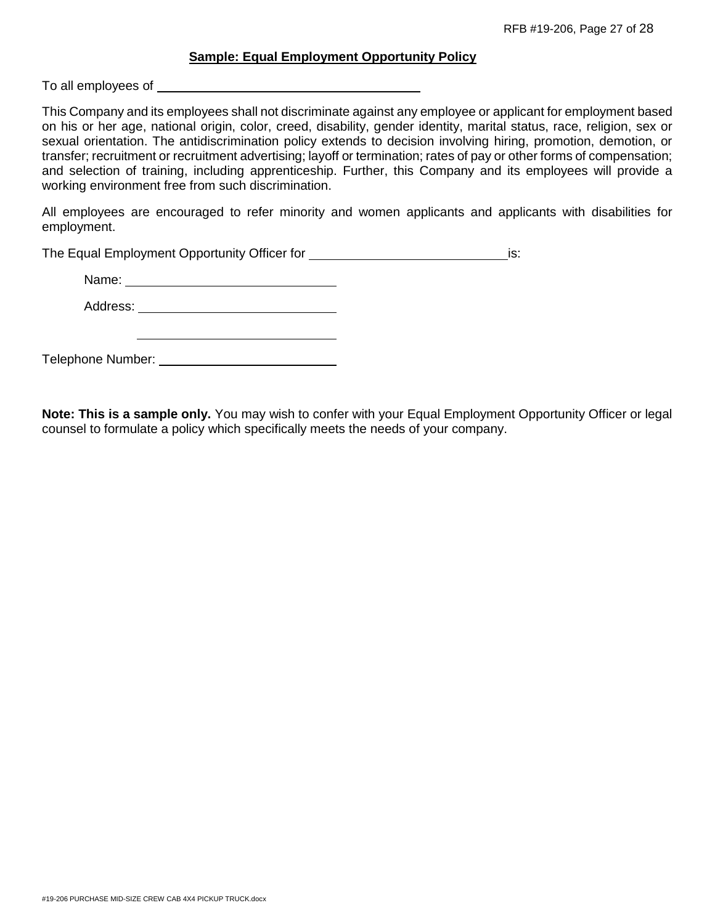### **Sample: Equal Employment Opportunity Policy**

To all employees of

This Company and its employees shall not discriminate against any employee or applicant for employment based on his or her age, national origin, color, creed, disability, gender identity, marital status, race, religion, sex or sexual orientation. The antidiscrimination policy extends to decision involving hiring, promotion, demotion, or transfer; recruitment or recruitment advertising; layoff or termination; rates of pay or other forms of compensation; and selection of training, including apprenticeship. Further, this Company and its employees will provide a working environment free from such discrimination.

All employees are encouraged to refer minority and women applicants and applicants with disabilities for employment.

The Equal Employment Opportunity Officer for is: is:

<u> 1980 - Johann Barbara, martxa amerikan personal (h. 1980).</u>

Name: when the contract of the contract of the contract of the contract of the contract of the contract of the contract of the contract of the contract of the contract of the contract of the contract of the contract of the

Address: **Address: Address: Address: Address: Address: Address: Address: Address: Address: Address: Address: Address: Address: Address: Address: Address: Address: Address: Address: Add** 

Telephone Number:

**Note: This is a sample only.** You may wish to confer with your Equal Employment Opportunity Officer or legal counsel to formulate a policy which specifically meets the needs of your company.